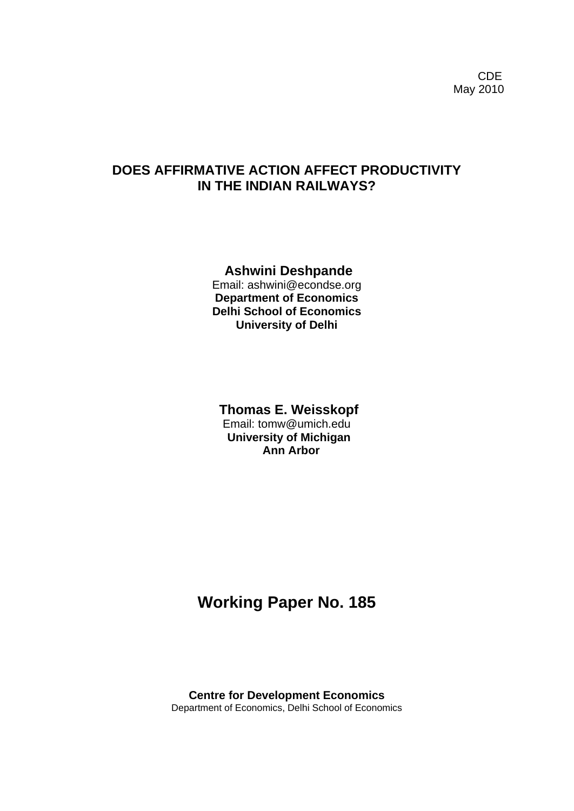# **DOES AFFIRMATIVE ACTION AFFECT PRODUCTIVITY IN THE INDIAN RAILWAYS?**

## **Ashwini Deshpande**

Email: ashwini@econdse.org **Department of Economics Delhi School of Economics University of Delhi**

## **Thomas E. Weisskopf** Email: tomw@umich.edu

 **University of Michigan Ann Arbor**

# **Working Paper No. 185**

**Centre for Development Economics** Department of Economics, Delhi School of Economics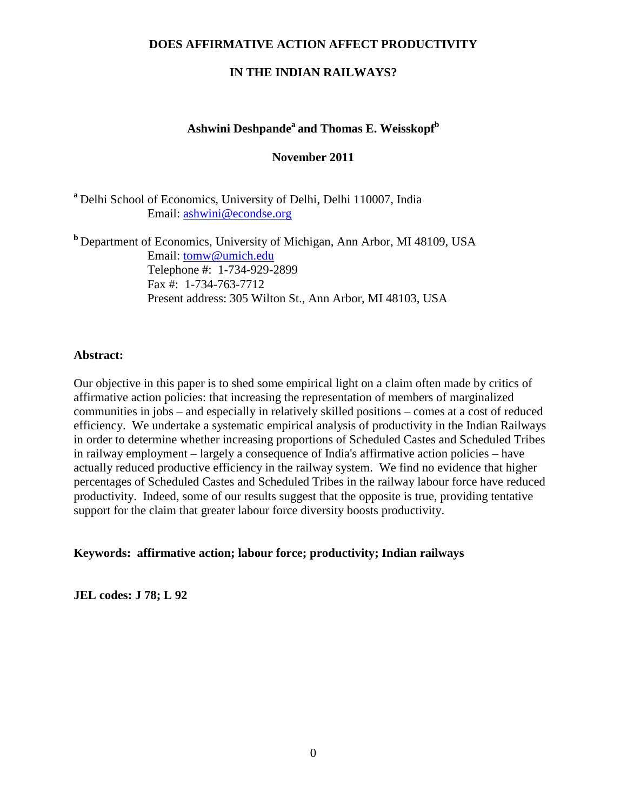#### **DOES AFFIRMATIVE ACTION AFFECT PRODUCTIVITY**

#### **IN THE INDIAN RAILWAYS?**

## **Ashwini Deshpande<sup>a</sup> and Thomas E. Weisskopf<sup>b</sup>**

#### **November 2011**

**<sup>a</sup>** Delhi School of Economics, University of Delhi, Delhi 110007, India Email: [ashwini@econdse.org](mailto:ashwini@econdse.org)

**<sup>b</sup>** Department of Economics, University of Michigan, Ann Arbor, MI 48109, USA Email: [tomw@umich.edu](mailto:tomw@umich.edu) Telephone #: 1-734-929-2899 Fax #: 1-734-763-7712 Present address: 305 Wilton St., Ann Arbor, MI 48103, USA

#### **Abstract:**

Our objective in this paper is to shed some empirical light on a claim often made by critics of affirmative action policies: that increasing the representation of members of marginalized communities in jobs – and especially in relatively skilled positions – comes at a cost of reduced efficiency. We undertake a systematic empirical analysis of productivity in the Indian Railways in order to determine whether increasing proportions of Scheduled Castes and Scheduled Tribes in railway employment – largely a consequence of India's affirmative action policies – have actually reduced productive efficiency in the railway system. We find no evidence that higher percentages of Scheduled Castes and Scheduled Tribes in the railway labour force have reduced productivity. Indeed, some of our results suggest that the opposite is true, providing tentative support for the claim that greater labour force diversity boosts productivity.

#### **Keywords: affirmative action; labour force; productivity; Indian railways**

**JEL codes: J 78; L 92**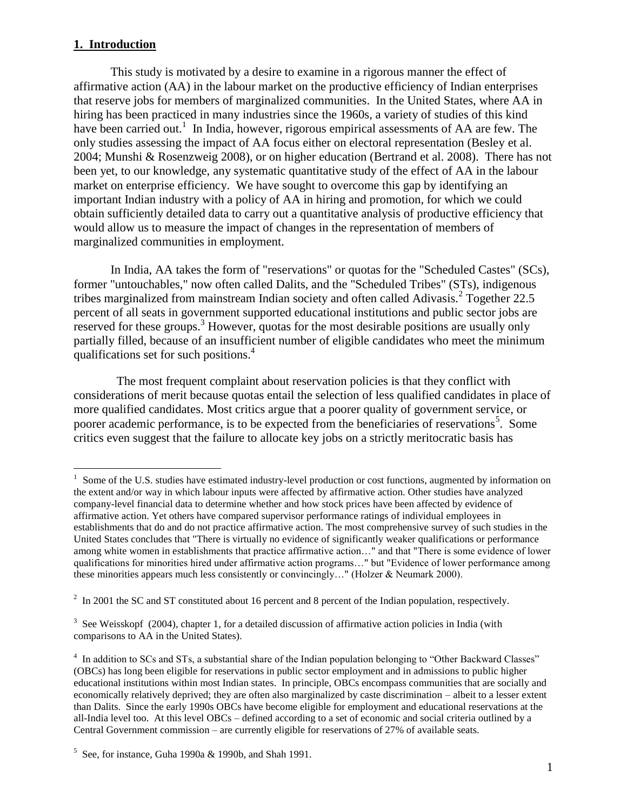## **1. Introduction**

 $\overline{a}$ 

This study is motivated by a desire to examine in a rigorous manner the effect of affirmative action (AA) in the labour market on the productive efficiency of Indian enterprises that reserve jobs for members of marginalized communities. In the United States, where AA in hiring has been practiced in many industries since the 1960s, a variety of studies of this kind have been carried out.<sup>1</sup> In India, however, rigorous empirical assessments of AA are few. The only studies assessing the impact of AA focus either on electoral representation (Besley et al. 2004; Munshi & Rosenzweig 2008), or on higher education (Bertrand et al. 2008). There has not been yet, to our knowledge, any systematic quantitative study of the effect of AA in the labour market on enterprise efficiency. We have sought to overcome this gap by identifying an important Indian industry with a policy of AA in hiring and promotion, for which we could obtain sufficiently detailed data to carry out a quantitative analysis of productive efficiency that would allow us to measure the impact of changes in the representation of members of marginalized communities in employment.

In India, AA takes the form of "reservations" or quotas for the "Scheduled Castes" (SCs), former "untouchables," now often called Dalits, and the "Scheduled Tribes" (STs), indigenous tribes marginalized from mainstream Indian society and often called Adivasis.<sup>2</sup> Together 22.5 percent of all seats in government supported educational institutions and public sector jobs are reserved for these groups.<sup>3</sup> However, quotas for the most desirable positions are usually only partially filled, because of an insufficient number of eligible candidates who meet the minimum qualifications set for such positions.<sup>4</sup>

 The most frequent complaint about reservation policies is that they conflict with considerations of merit because quotas entail the selection of less qualified candidates in place of more qualified candidates. Most critics argue that a poorer quality of government service, or poorer academic performance, is to be expected from the beneficiaries of reservations<sup>5</sup>. Some critics even suggest that the failure to allocate key jobs on a strictly meritocratic basis has

<sup>&</sup>lt;sup>1</sup> Some of the U.S. studies have estimated industry-level production or cost functions, augmented by information on the extent and/or way in which labour inputs were affected by affirmative action. Other studies have analyzed company-level financial data to determine whether and how stock prices have been affected by evidence of affirmative action. Yet others have compared supervisor performance ratings of individual employees in establishments that do and do not practice affirmative action. The most comprehensive survey of such studies in the United States concludes that "There is virtually no evidence of significantly weaker qualifications or performance among white women in establishments that practice affirmative action…" and that "There is some evidence of lower qualifications for minorities hired under affirmative action programs…" but "Evidence of lower performance among these minorities appears much less consistently or convincingly…" (Holzer & Neumark 2000).

 $2 \text{ In } 2001$  the SC and ST constituted about 16 percent and 8 percent of the Indian population, respectively.

 $3$  See Weisskopf (2004), chapter 1, for a detailed discussion of affirmative action policies in India (with comparisons to AA in the United States).

<sup>&</sup>lt;sup>4</sup> In addition to SCs and STs, a substantial share of the Indian population belonging to "Other Backward Classes" (OBCs) has long been eligible for reservations in public sector employment and in admissions to public higher educational institutions within most Indian states. In principle, OBCs encompass communities that are socially and economically relatively deprived; they are often also marginalized by caste discrimination – albeit to a lesser extent than Dalits. Since the early 1990s OBCs have become eligible for employment and educational reservations at the all-India level too. At this level OBCs – defined according to a set of economic and social criteria outlined by a Central Government commission – are currently eligible for reservations of 27% of available seats.

<sup>&</sup>lt;sup>5</sup> See, for instance, Guha 1990a & 1990b, and Shah 1991.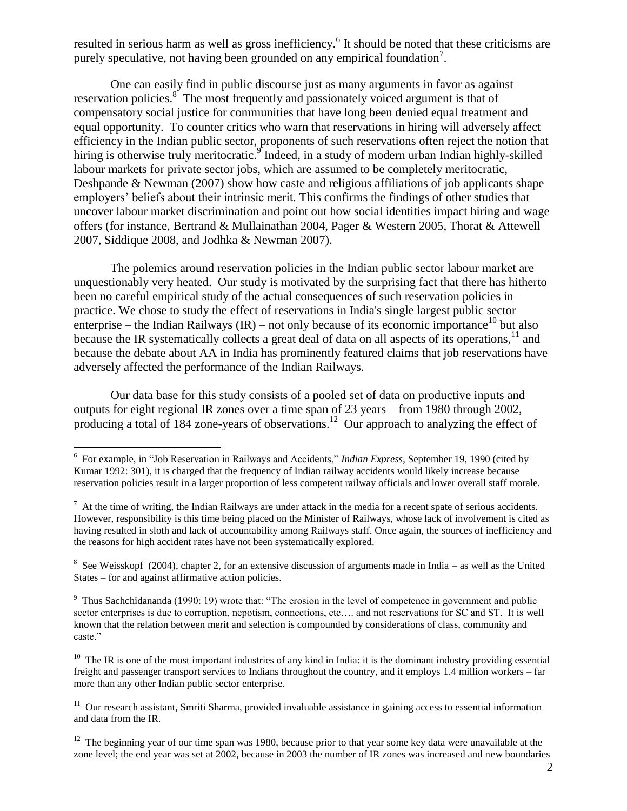resulted in serious harm as well as gross inefficiency.<sup>6</sup> It should be noted that these criticisms are purely speculative, not having been grounded on any empirical foundation<sup>7</sup>.

One can easily find in public discourse just as many arguments in favor as against reservation policies.<sup>8</sup> The most frequently and passionately voiced argument is that of compensatory social justice for communities that have long been denied equal treatment and equal opportunity. To counter critics who warn that reservations in hiring will adversely affect efficiency in the Indian public sector, proponents of such reservations often reject the notion that hiring is otherwise truly meritocratic.<sup>9</sup> Indeed, in a study of modern urban Indian highly-skilled labour markets for private sector jobs, which are assumed to be completely meritocratic, Deshpande & Newman (2007) show how caste and religious affiliations of job applicants shape employers' beliefs about their intrinsic merit. This confirms the findings of other studies that uncover labour market discrimination and point out how social identities impact hiring and wage offers (for instance, Bertrand & Mullainathan 2004, Pager & Western 2005, Thorat & Attewell 2007, Siddique 2008, and Jodhka & Newman 2007).

The polemics around reservation policies in the Indian public sector labour market are unquestionably very heated. Our study is motivated by the surprising fact that there has hitherto been no careful empirical study of the actual consequences of such reservation policies in practice. We chose to study the effect of reservations in India's single largest public sector enterprise – the Indian Railways  $(IR)$  – not only because of its economic importance<sup>10</sup> but also because the IR systematically collects a great deal of data on all aspects of its operations,  $11$  and because the debate about AA in India has prominently featured claims that job reservations have adversely affected the performance of the Indian Railways.

Our data base for this study consists of a pooled set of data on productive inputs and outputs for eight regional IR zones over a time span of 23 years – from 1980 through 2002, producing a total of 184 zone-years of observations.<sup>12</sup> Our approach to analyzing the effect of

 6 For example, in "Job Reservation in Railways and Accidents," *Indian Express*, September 19, 1990 (cited by Kumar 1992: 301), it is charged that the frequency of Indian railway accidents would likely increase because reservation policies result in a larger proportion of less competent railway officials and lower overall staff morale.

 $<sup>7</sup>$  At the time of writing, the Indian Railways are under attack in the media for a recent spate of serious accidents.</sup> However, responsibility is this time being placed on the Minister of Railways, whose lack of involvement is cited as having resulted in sloth and lack of accountability among Railways staff. Once again, the sources of inefficiency and the reasons for high accident rates have not been systematically explored.

<sup>&</sup>lt;sup>8</sup> See Weisskopf (2004), chapter 2, for an extensive discussion of arguments made in India – as well as the United States – for and against affirmative action policies.

<sup>&</sup>lt;sup>9</sup> Thus Sachchidananda (1990: 19) wrote that: "The erosion in the level of competence in government and public sector enterprises is due to corruption, nepotism, connections, etc.... and not reservations for SC and ST. It is well known that the relation between merit and selection is compounded by considerations of class, community and caste."

 $10$  The IR is one of the most important industries of any kind in India: it is the dominant industry providing essential freight and passenger transport services to Indians throughout the country, and it employs 1.4 million workers – far more than any other Indian public sector enterprise.

<sup>&</sup>lt;sup>11</sup> Our research assistant, Smriti Sharma, provided invaluable assistance in gaining access to essential information and data from the IR.

 $12$  The beginning year of our time span was 1980, because prior to that year some key data were unavailable at the zone level; the end year was set at 2002, because in 2003 the number of IR zones was increased and new boundaries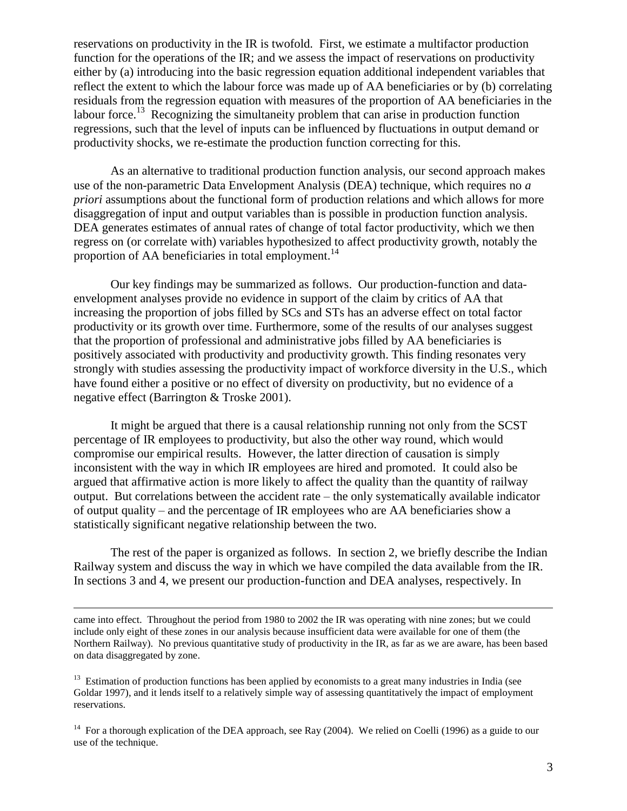reservations on productivity in the IR is twofold. First, we estimate a multifactor production function for the operations of the IR; and we assess the impact of reservations on productivity either by (a) introducing into the basic regression equation additional independent variables that reflect the extent to which the labour force was made up of AA beneficiaries or by (b) correlating residuals from the regression equation with measures of the proportion of AA beneficiaries in the labour force.<sup>13</sup> Recognizing the simultaneity problem that can arise in production function regressions, such that the level of inputs can be influenced by fluctuations in output demand or productivity shocks, we re-estimate the production function correcting for this.

As an alternative to traditional production function analysis, our second approach makes use of the non-parametric Data Envelopment Analysis (DEA) technique, which requires no *a priori* assumptions about the functional form of production relations and which allows for more disaggregation of input and output variables than is possible in production function analysis. DEA generates estimates of annual rates of change of total factor productivity, which we then regress on (or correlate with) variables hypothesized to affect productivity growth, notably the proportion of AA beneficiaries in total employment.<sup>14</sup>

Our key findings may be summarized as follows. Our production-function and dataenvelopment analyses provide no evidence in support of the claim by critics of AA that increasing the proportion of jobs filled by SCs and STs has an adverse effect on total factor productivity or its growth over time. Furthermore, some of the results of our analyses suggest that the proportion of professional and administrative jobs filled by AA beneficiaries is positively associated with productivity and productivity growth. This finding resonates very strongly with studies assessing the productivity impact of workforce diversity in the U.S., which have found either a positive or no effect of diversity on productivity, but no evidence of a negative effect (Barrington & Troske 2001).

It might be argued that there is a causal relationship running not only from the SCST percentage of IR employees to productivity, but also the other way round, which would compromise our empirical results. However, the latter direction of causation is simply inconsistent with the way in which IR employees are hired and promoted. It could also be argued that affirmative action is more likely to affect the quality than the quantity of railway output. But correlations between the accident rate – the only systematically available indicator of output quality – and the percentage of IR employees who are AA beneficiaries show a statistically significant negative relationship between the two.

The rest of the paper is organized as follows. In section 2, we briefly describe the Indian Railway system and discuss the way in which we have compiled the data available from the IR. In sections 3 and 4, we present our production-function and DEA analyses, respectively. In

came into effect. Throughout the period from 1980 to 2002 the IR was operating with nine zones; but we could include only eight of these zones in our analysis because insufficient data were available for one of them (the Northern Railway). No previous quantitative study of productivity in the IR, as far as we are aware, has been based on data disaggregated by zone.

 $\overline{a}$ 

 $13$  Estimation of production functions has been applied by economists to a great many industries in India (see Goldar 1997), and it lends itself to a relatively simple way of assessing quantitatively the impact of employment reservations.

<sup>14</sup> For a thorough explication of the DEA approach, see Ray (2004). We relied on Coelli (1996) as a guide to our use of the technique.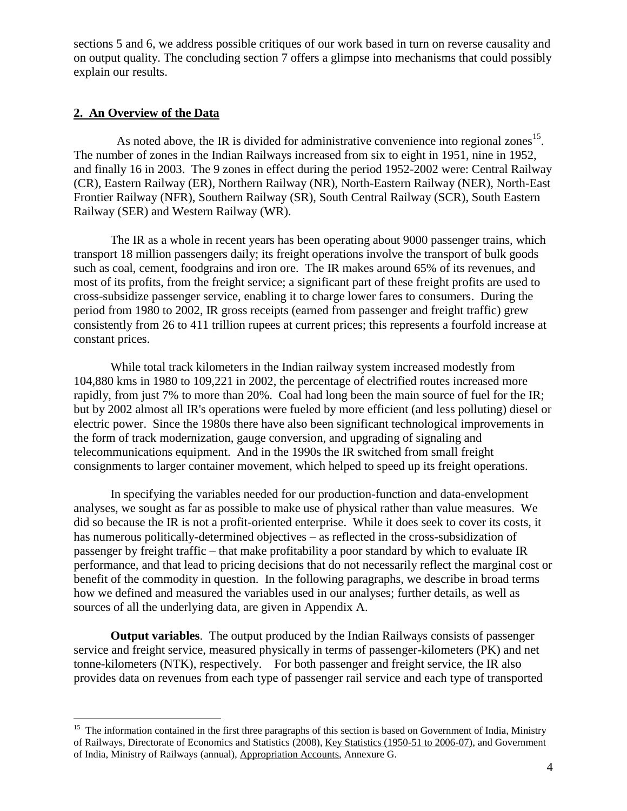sections 5 and 6, we address possible critiques of our work based in turn on reverse causality and on output quality. The concluding section 7 offers a glimpse into mechanisms that could possibly explain our results.

#### **2. An Overview of the Data**

 $\overline{a}$ 

As noted above, the IR is divided for administrative convenience into regional zones<sup>15</sup>. The number of zones in the Indian Railways increased from six to eight in 1951, nine in 1952, and finally 16 in 2003. The 9 zones in effect during the period 1952-2002 were: Central Railway (CR), Eastern Railway (ER), Northern Railway (NR), North-Eastern Railway (NER), North-East Frontier Railway (NFR), Southern Railway (SR), South Central Railway (SCR), South Eastern Railway (SER) and Western Railway (WR).

The IR as a whole in recent years has been operating about 9000 passenger trains, which transport 18 million passengers daily; its freight operations involve the transport of bulk goods such as coal, cement, foodgrains and iron ore. The IR makes around 65% of its revenues, and most of its profits, from the freight service; a significant part of these freight profits are used to cross-subsidize passenger service, enabling it to charge lower fares to consumers. During the period from 1980 to 2002, IR gross receipts (earned from passenger and freight traffic) grew consistently from 26 to 411 trillion rupees at current prices; this represents a fourfold increase at constant prices.

While total track kilometers in the Indian railway system increased modestly from 104,880 kms in 1980 to 109,221 in 2002, the percentage of electrified routes increased more rapidly, from just 7% to more than 20%. Coal had long been the main source of fuel for the IR; but by 2002 almost all IR's operations were fueled by more efficient (and less polluting) diesel or electric power. Since the 1980s there have also been significant technological improvements in the form of track modernization, gauge conversion, and upgrading of signaling and telecommunications equipment. And in the 1990s the IR switched from small freight consignments to larger container movement, which helped to speed up its freight operations.

In specifying the variables needed for our production-function and data-envelopment analyses, we sought as far as possible to make use of physical rather than value measures. We did so because the IR is not a profit-oriented enterprise. While it does seek to cover its costs, it has numerous politically-determined objectives – as reflected in the cross-subsidization of passenger by freight traffic – that make profitability a poor standard by which to evaluate IR performance, and that lead to pricing decisions that do not necessarily reflect the marginal cost or benefit of the commodity in question. In the following paragraphs, we describe in broad terms how we defined and measured the variables used in our analyses; further details, as well as sources of all the underlying data, are given in Appendix A.

**Output variables**. The output produced by the Indian Railways consists of passenger service and freight service, measured physically in terms of passenger-kilometers (PK) and net tonne-kilometers (NTK), respectively. For both passenger and freight service, the IR also provides data on revenues from each type of passenger rail service and each type of transported

<sup>&</sup>lt;sup>15</sup> The information contained in the first three paragraphs of this section is based on Government of India, Ministry of Railways, Directorate of Economics and Statistics (2008), Key Statistics (1950-51 to 2006-07), and Government of India, Ministry of Railways (annual), Appropriation Accounts, Annexure G.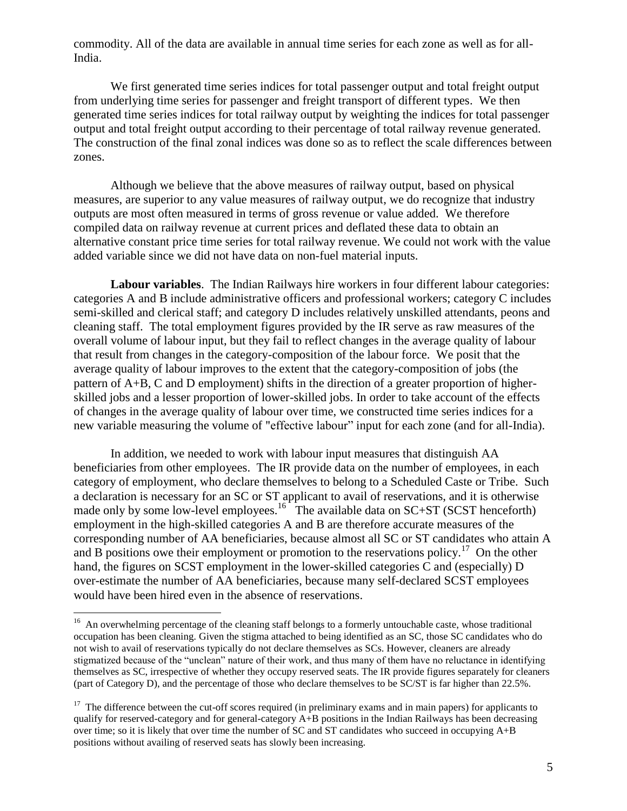commodity. All of the data are available in annual time series for each zone as well as for all-India.

We first generated time series indices for total passenger output and total freight output from underlying time series for passenger and freight transport of different types. We then generated time series indices for total railway output by weighting the indices for total passenger output and total freight output according to their percentage of total railway revenue generated. The construction of the final zonal indices was done so as to reflect the scale differences between zones.

Although we believe that the above measures of railway output, based on physical measures, are superior to any value measures of railway output, we do recognize that industry outputs are most often measured in terms of gross revenue or value added. We therefore compiled data on railway revenue at current prices and deflated these data to obtain an alternative constant price time series for total railway revenue. We could not work with the value added variable since we did not have data on non-fuel material inputs.

**Labour variables**. The Indian Railways hire workers in four different labour categories: categories A and B include administrative officers and professional workers; category C includes semi-skilled and clerical staff; and category D includes relatively unskilled attendants, peons and cleaning staff. The total employment figures provided by the IR serve as raw measures of the overall volume of labour input, but they fail to reflect changes in the average quality of labour that result from changes in the category-composition of the labour force. We posit that the average quality of labour improves to the extent that the category-composition of jobs (the pattern of A+B, C and D employment) shifts in the direction of a greater proportion of higherskilled jobs and a lesser proportion of lower-skilled jobs. In order to take account of the effects of changes in the average quality of labour over time, we constructed time series indices for a new variable measuring the volume of "effective labour" input for each zone (and for all-India).

In addition, we needed to work with labour input measures that distinguish AA beneficiaries from other employees. The IR provide data on the number of employees, in each category of employment, who declare themselves to belong to a Scheduled Caste or Tribe. Such a declaration is necessary for an SC or ST applicant to avail of reservations, and it is otherwise made only by some low-level employees.<sup>16</sup> The available data on  $SC+ST$  (SCST henceforth) employment in the high-skilled categories A and B are therefore accurate measures of the corresponding number of AA beneficiaries, because almost all SC or ST candidates who attain A and B positions owe their employment or promotion to the reservations policy.<sup>17</sup> On the other hand, the figures on SCST employment in the lower-skilled categories C and (especially) D over-estimate the number of AA beneficiaries, because many self-declared SCST employees would have been hired even in the absence of reservations.

 $\overline{a}$ 

<sup>&</sup>lt;sup>16</sup> An overwhelming percentage of the cleaning staff belongs to a formerly untouchable caste, whose traditional occupation has been cleaning. Given the stigma attached to being identified as an SC, those SC candidates who do not wish to avail of reservations typically do not declare themselves as SCs. However, cleaners are already stigmatized because of the "unclean" nature of their work, and thus many of them have no reluctance in identifying themselves as SC, irrespective of whether they occupy reserved seats. The IR provide figures separately for cleaners (part of Category D), and the percentage of those who declare themselves to be SC/ST is far higher than 22.5%.

<sup>&</sup>lt;sup>17</sup> The difference between the cut-off scores required (in preliminary exams and in main papers) for applicants to qualify for reserved-category and for general-category A+B positions in the Indian Railways has been decreasing over time; so it is likely that over time the number of SC and ST candidates who succeed in occupying A+B positions without availing of reserved seats has slowly been increasing.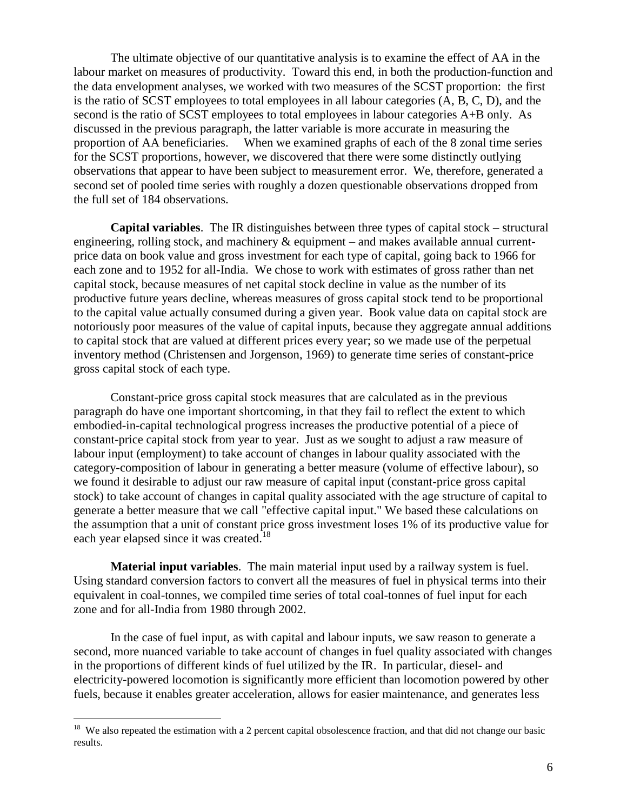The ultimate objective of our quantitative analysis is to examine the effect of AA in the labour market on measures of productivity. Toward this end, in both the production-function and the data envelopment analyses, we worked with two measures of the SCST proportion: the first is the ratio of SCST employees to total employees in all labour categories (A, B, C, D), and the second is the ratio of SCST employees to total employees in labour categories A+B only. As discussed in the previous paragraph, the latter variable is more accurate in measuring the proportion of AA beneficiaries. When we examined graphs of each of the 8 zonal time series for the SCST proportions, however, we discovered that there were some distinctly outlying observations that appear to have been subject to measurement error. We, therefore, generated a second set of pooled time series with roughly a dozen questionable observations dropped from the full set of 184 observations.

**Capital variables**. The IR distinguishes between three types of capital stock – structural engineering, rolling stock, and machinery & equipment – and makes available annual currentprice data on book value and gross investment for each type of capital, going back to 1966 for each zone and to 1952 for all-India. We chose to work with estimates of gross rather than net capital stock, because measures of net capital stock decline in value as the number of its productive future years decline, whereas measures of gross capital stock tend to be proportional to the capital value actually consumed during a given year. Book value data on capital stock are notoriously poor measures of the value of capital inputs, because they aggregate annual additions to capital stock that are valued at different prices every year; so we made use of the perpetual inventory method (Christensen and Jorgenson, 1969) to generate time series of constant-price gross capital stock of each type.

Constant-price gross capital stock measures that are calculated as in the previous paragraph do have one important shortcoming, in that they fail to reflect the extent to which embodied-in-capital technological progress increases the productive potential of a piece of constant-price capital stock from year to year. Just as we sought to adjust a raw measure of labour input (employment) to take account of changes in labour quality associated with the category-composition of labour in generating a better measure (volume of effective labour), so we found it desirable to adjust our raw measure of capital input (constant-price gross capital stock) to take account of changes in capital quality associated with the age structure of capital to generate a better measure that we call "effective capital input." We based these calculations on the assumption that a unit of constant price gross investment loses 1% of its productive value for each year elapsed since it was created.<sup>18</sup>

**Material input variables**. The main material input used by a railway system is fuel. Using standard conversion factors to convert all the measures of fuel in physical terms into their equivalent in coal-tonnes, we compiled time series of total coal-tonnes of fuel input for each zone and for all-India from 1980 through 2002.

In the case of fuel input, as with capital and labour inputs, we saw reason to generate a second, more nuanced variable to take account of changes in fuel quality associated with changes in the proportions of different kinds of fuel utilized by the IR. In particular, diesel- and electricity-powered locomotion is significantly more efficient than locomotion powered by other fuels, because it enables greater acceleration, allows for easier maintenance, and generates less

<sup>&</sup>lt;sup>18</sup> We also repeated the estimation with a 2 percent capital obsolescence fraction, and that did not change our basic results.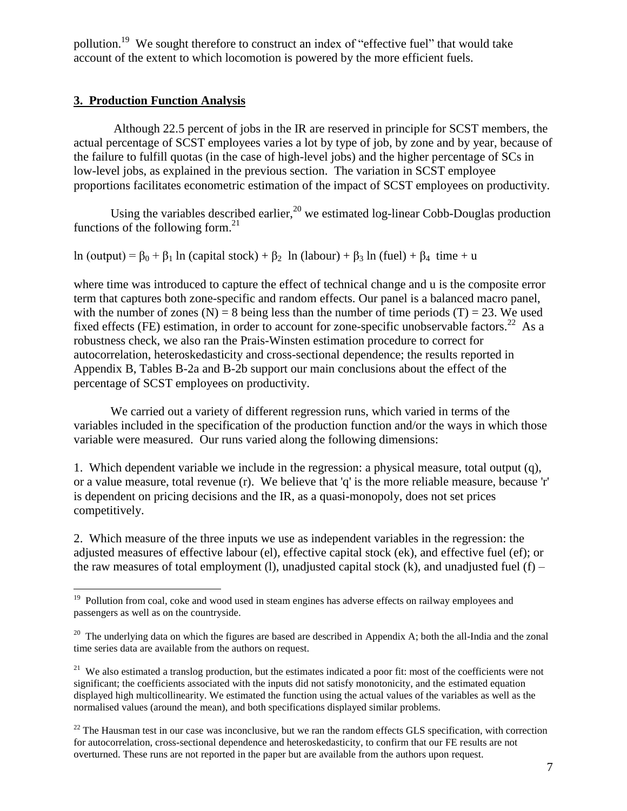pollution.<sup>19</sup> We sought therefore to construct an index of "effective fuel" that would take account of the extent to which locomotion is powered by the more efficient fuels.

## **3. Production Function Analysis**

Although 22.5 percent of jobs in the IR are reserved in principle for SCST members, the actual percentage of SCST employees varies a lot by type of job, by zone and by year, because of the failure to fulfill quotas (in the case of high-level jobs) and the higher percentage of SCs in low-level jobs, as explained in the previous section. The variation in SCST employee proportions facilitates econometric estimation of the impact of SCST employees on productivity.

Using the variables described earlier,<sup>20</sup> we estimated log-linear Cobb-Douglas production functions of the following form. 21

ln (output) =  $\beta_0 + \beta_1$  ln (capital stock) +  $\beta_2$  ln (labour) +  $\beta_3$  ln (fuel) +  $\beta_4$  time + u

where time was introduced to capture the effect of technical change and u is the composite error term that captures both zone-specific and random effects. Our panel is a balanced macro panel, with the number of zones  $(N) = 8$  being less than the number of time periods  $(T) = 23$ . We used fixed effects (FE) estimation, in order to account for zone-specific unobservable factors.<sup>22</sup> As a robustness check, we also ran the Prais-Winsten estimation procedure to correct for autocorrelation, heteroskedasticity and cross-sectional dependence; the results reported in Appendix B, Tables B-2a and B-2b support our main conclusions about the effect of the percentage of SCST employees on productivity.

We carried out a variety of different regression runs, which varied in terms of the variables included in the specification of the production function and/or the ways in which those variable were measured. Our runs varied along the following dimensions:

1. Which dependent variable we include in the regression: a physical measure, total output (q), or a value measure, total revenue (r). We believe that 'q' is the more reliable measure, because 'r' is dependent on pricing decisions and the IR, as a quasi-monopoly, does not set prices competitively.

2. Which measure of the three inputs we use as independent variables in the regression: the adjusted measures of effective labour (el), effective capital stock (ek), and effective fuel (ef); or the raw measures of total employment (1), unadjusted capital stock  $(k)$ , and unadjusted fuel  $(f)$  –

<sup>&</sup>lt;sup>19</sup> Pollution from coal, coke and wood used in steam engines has adverse effects on railway employees and <sup>19</sup> passengers as well as on the countryside.

 $20$  The underlying data on which the figures are based are described in Appendix A; both the all-India and the zonal time series data are available from the authors on request.

<sup>&</sup>lt;sup>21</sup> We also estimated a translog production, but the estimates indicated a poor fit: most of the coefficients were not significant; the coefficients associated with the inputs did not satisfy monotonicity, and the estimated equation displayed high multicollinearity. We estimated the function using the actual values of the variables as well as the normalised values (around the mean), and both specifications displayed similar problems.

 $22$  The Hausman test in our case was inconclusive, but we ran the random effects GLS specification, with correction for autocorrelation, cross-sectional dependence and heteroskedasticity, to confirm that our FE results are not overturned. These runs are not reported in the paper but are available from the authors upon request.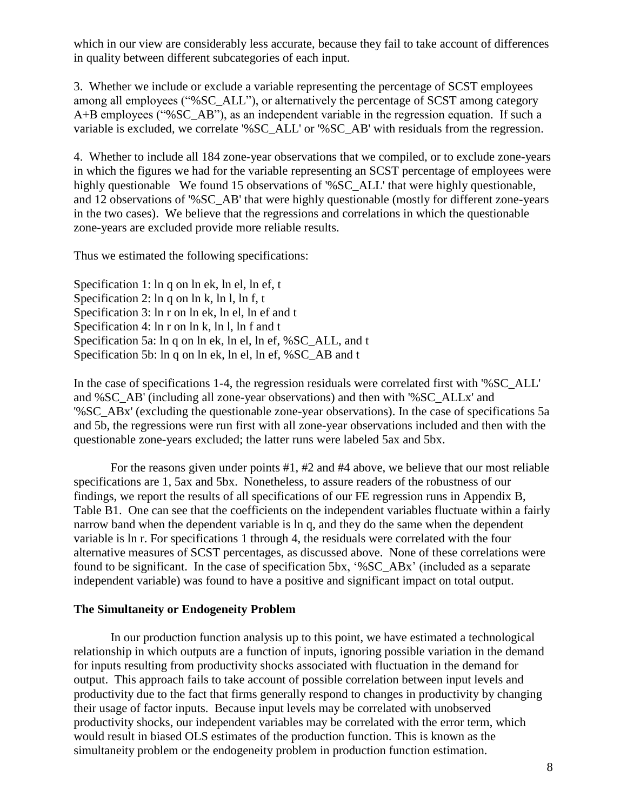which in our view are considerably less accurate, because they fail to take account of differences in quality between different subcategories of each input.

3. Whether we include or exclude a variable representing the percentage of SCST employees among all employees ("%SC\_ALL"), or alternatively the percentage of SCST among category A+B employees ("%SC\_AB"), as an independent variable in the regression equation. If such a variable is excluded, we correlate '%SC\_ALL' or '%SC\_AB' with residuals from the regression.

4. Whether to include all 184 zone-year observations that we compiled, or to exclude zone-years in which the figures we had for the variable representing an SCST percentage of employees were highly questionable We found 15 observations of '%SC\_ALL' that were highly questionable, and 12 observations of '%SC\_AB' that were highly questionable (mostly for different zone-years in the two cases). We believe that the regressions and correlations in which the questionable zone-years are excluded provide more reliable results.

Thus we estimated the following specifications:

Specification 1: ln q on ln ek, ln el, ln ef, t Specification 2: ln q on ln k, ln l, ln f, t Specification 3: ln r on ln ek, ln el, ln ef and t Specification 4: ln r on ln k, ln l, ln f and t Specification 5a: ln q on ln ek, ln el, ln ef, %SC\_ALL, and t Specification 5b: ln q on ln ek, ln el, ln ef, %SC\_AB and t

In the case of specifications 1-4, the regression residuals were correlated first with '%SC\_ALL' and %SC\_AB' (including all zone-year observations) and then with '%SC\_ALLx' and '%SC\_ABx' (excluding the questionable zone-year observations). In the case of specifications 5a and 5b, the regressions were run first with all zone-year observations included and then with the questionable zone-years excluded; the latter runs were labeled 5ax and 5bx.

For the reasons given under points #1, #2 and #4 above, we believe that our most reliable specifications are 1, 5ax and 5bx. Nonetheless, to assure readers of the robustness of our findings, we report the results of all specifications of our FE regression runs in Appendix B, Table B1. One can see that the coefficients on the independent variables fluctuate within a fairly narrow band when the dependent variable is ln q, and they do the same when the dependent variable is ln r. For specifications 1 through 4, the residuals were correlated with the four alternative measures of SCST percentages, as discussed above. None of these correlations were found to be significant. In the case of specification 5bx, '%SC\_ABx' (included as a separate independent variable) was found to have a positive and significant impact on total output.

#### **The Simultaneity or Endogeneity Problem**

In our production function analysis up to this point, we have estimated a technological relationship in which outputs are a function of inputs, ignoring possible variation in the demand for inputs resulting from productivity shocks associated with fluctuation in the demand for output. This approach fails to take account of possible correlation between input levels and productivity due to the fact that firms generally respond to changes in productivity by changing their usage of factor inputs. Because input levels may be correlated with unobserved productivity shocks, our independent variables may be correlated with the error term, which would result in biased OLS estimates of the production function. This is known as the simultaneity problem or the endogeneity problem in production function estimation.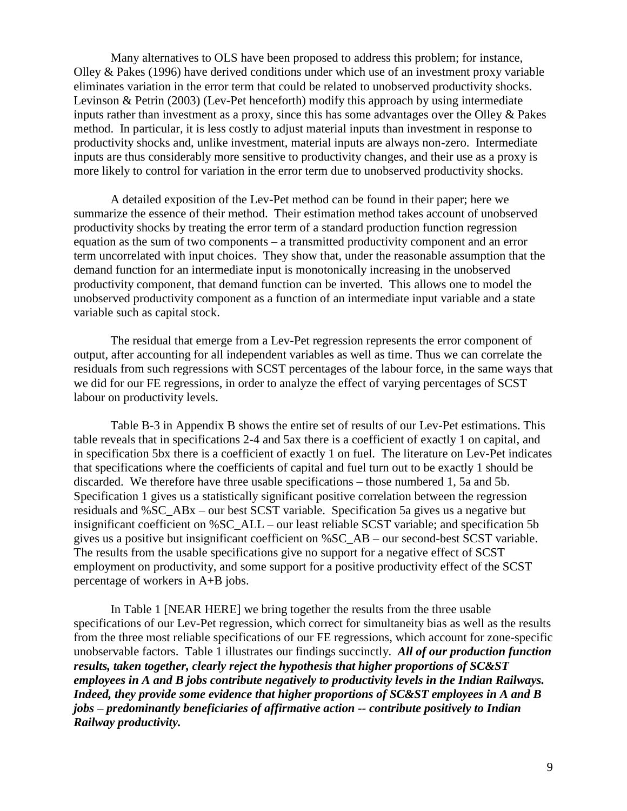Many alternatives to OLS have been proposed to address this problem; for instance, Olley & Pakes (1996) have derived conditions under which use of an investment proxy variable eliminates variation in the error term that could be related to unobserved productivity shocks. Levinson & Petrin (2003) (Lev-Pet henceforth) modify this approach by using intermediate inputs rather than investment as a proxy, since this has some advantages over the Olley & Pakes method. In particular, it is less costly to adjust material inputs than investment in response to productivity shocks and, unlike investment, material inputs are always non-zero. Intermediate inputs are thus considerably more sensitive to productivity changes, and their use as a proxy is more likely to control for variation in the error term due to unobserved productivity shocks.

A detailed exposition of the Lev-Pet method can be found in their paper; here we summarize the essence of their method. Their estimation method takes account of unobserved productivity shocks by treating the error term of a standard production function regression equation as the sum of two components – a transmitted productivity component and an error term uncorrelated with input choices. They show that, under the reasonable assumption that the demand function for an intermediate input is monotonically increasing in the unobserved productivity component, that demand function can be inverted. This allows one to model the unobserved productivity component as a function of an intermediate input variable and a state variable such as capital stock.

The residual that emerge from a Lev-Pet regression represents the error component of output, after accounting for all independent variables as well as time. Thus we can correlate the residuals from such regressions with SCST percentages of the labour force, in the same ways that we did for our FE regressions, in order to analyze the effect of varying percentages of SCST labour on productivity levels.

Table B-3 in Appendix B shows the entire set of results of our Lev-Pet estimations. This table reveals that in specifications 2-4 and 5ax there is a coefficient of exactly 1 on capital, and in specification 5bx there is a coefficient of exactly 1 on fuel. The literature on Lev-Pet indicates that specifications where the coefficients of capital and fuel turn out to be exactly 1 should be discarded. We therefore have three usable specifications – those numbered 1, 5a and 5b. Specification 1 gives us a statistically significant positive correlation between the regression residuals and %SC\_ABx – our best SCST variable. Specification 5a gives us a negative but insignificant coefficient on %SC\_ALL – our least reliable SCST variable; and specification 5b gives us a positive but insignificant coefficient on %SC\_AB – our second-best SCST variable. The results from the usable specifications give no support for a negative effect of SCST employment on productivity, and some support for a positive productivity effect of the SCST percentage of workers in A+B jobs.

In Table 1 [NEAR HERE] we bring together the results from the three usable specifications of our Lev-Pet regression, which correct for simultaneity bias as well as the results from the three most reliable specifications of our FE regressions, which account for zone-specific unobservable factors. Table 1 illustrates our findings succinctly. *All of our production function results, taken together, clearly reject the hypothesis that higher proportions of SC&ST employees in A and B jobs contribute negatively to productivity levels in the Indian Railways. Indeed, they provide some evidence that higher proportions of SC&ST employees in A and B jobs – predominantly beneficiaries of affirmative action -- contribute positively to Indian Railway productivity.*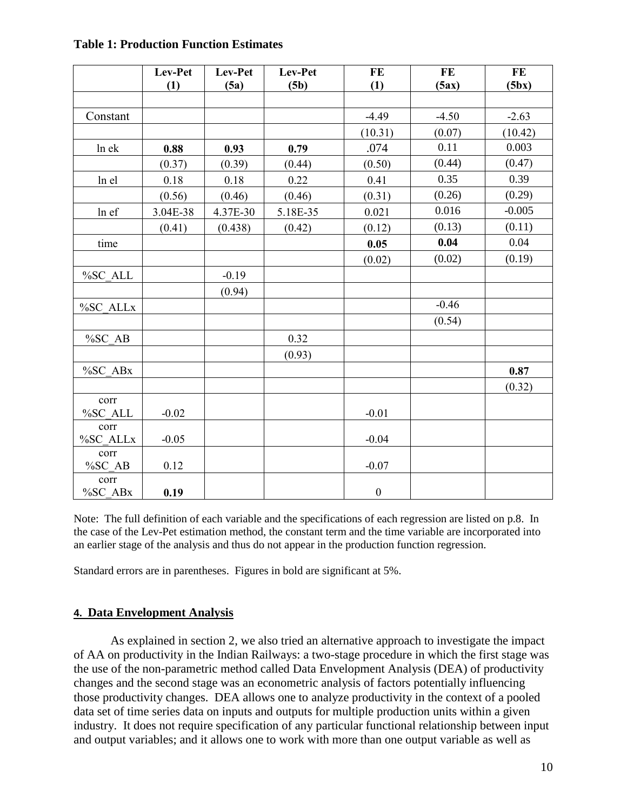|                  | Lev-Pet  | Lev-Pet  | Lev-Pet  | <b>FE</b>        | <b>FE</b> | <b>FE</b> |
|------------------|----------|----------|----------|------------------|-----------|-----------|
|                  | (1)      | (5a)     | (5b)     | (1)              | (5ax)     | (5bx)     |
|                  |          |          |          |                  |           |           |
| Constant         |          |          |          | $-4.49$          | $-4.50$   | $-2.63$   |
|                  |          |          |          | (10.31)          | (0.07)    | (10.42)   |
| ln ek            | 0.88     | 0.93     | 0.79     | .074             | 0.11      | 0.003     |
|                  | (0.37)   | (0.39)   | (0.44)   | (0.50)           | (0.44)    | (0.47)    |
| ln el            | 0.18     | 0.18     | 0.22     | 0.41             | 0.35      | 0.39      |
|                  | (0.56)   | (0.46)   | (0.46)   | (0.31)           | (0.26)    | (0.29)    |
| ln ef            | 3.04E-38 | 4.37E-30 | 5.18E-35 | 0.021            | 0.016     | $-0.005$  |
|                  | (0.41)   | (0.438)  | (0.42)   | (0.12)           | (0.13)    | (0.11)    |
| time             |          |          |          | 0.05             | 0.04      | 0.04      |
|                  |          |          |          | (0.02)           | (0.02)    | (0.19)    |
| %SC ALL          |          | $-0.19$  |          |                  |           |           |
|                  |          | (0.94)   |          |                  |           |           |
| %SC ALLx         |          |          |          |                  | $-0.46$   |           |
|                  |          |          |          |                  | (0.54)    |           |
| %SC AB           |          |          | 0.32     |                  |           |           |
|                  |          |          | (0.93)   |                  |           |           |
| %SC ABx          |          |          |          |                  |           | 0.87      |
|                  |          |          |          |                  |           | (0.32)    |
| corr             |          |          |          |                  |           |           |
| %SC ALL          | $-0.02$  |          |          | $-0.01$          |           |           |
| corr<br>%SC ALLx | $-0.05$  |          |          | $-0.04$          |           |           |
| corr             |          |          |          |                  |           |           |
| %SC AB           | 0.12     |          |          | $-0.07$          |           |           |
| corr             |          |          |          |                  |           |           |
| %SC ABx          | 0.19     |          |          | $\boldsymbol{0}$ |           |           |

#### **Table 1: Production Function Estimates**

Note: The full definition of each variable and the specifications of each regression are listed on p.8. In the case of the Lev-Pet estimation method, the constant term and the time variable are incorporated into an earlier stage of the analysis and thus do not appear in the production function regression.

Standard errors are in parentheses. Figures in bold are significant at 5%.

#### **4. Data Envelopment Analysis**

As explained in section 2, we also tried an alternative approach to investigate the impact of AA on productivity in the Indian Railways: a two-stage procedure in which the first stage was the use of the non-parametric method called Data Envelopment Analysis (DEA) of productivity changes and the second stage was an econometric analysis of factors potentially influencing those productivity changes. DEA allows one to analyze productivity in the context of a pooled data set of time series data on inputs and outputs for multiple production units within a given industry. It does not require specification of any particular functional relationship between input and output variables; and it allows one to work with more than one output variable as well as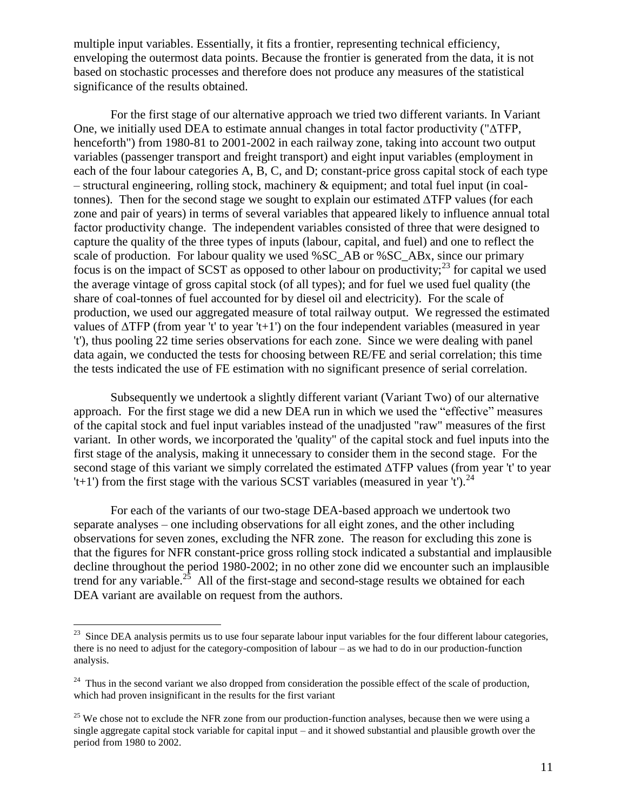multiple input variables. Essentially, it fits a frontier, representing technical efficiency, enveloping the outermost data points. Because the frontier is generated from the data, it is not based on stochastic processes and therefore does not produce any measures of the statistical significance of the results obtained.

For the first stage of our alternative approach we tried two different variants. In Variant One, we initially used DEA to estimate annual changes in total factor productivity ("∆TFP, henceforth") from 1980-81 to 2001-2002 in each railway zone, taking into account two output variables (passenger transport and freight transport) and eight input variables (employment in each of the four labour categories A, B, C, and D; constant-price gross capital stock of each type – structural engineering, rolling stock, machinery & equipment; and total fuel input (in coaltonnes). Then for the second stage we sought to explain our estimated ∆TFP values (for each zone and pair of years) in terms of several variables that appeared likely to influence annual total factor productivity change. The independent variables consisted of three that were designed to capture the quality of the three types of inputs (labour, capital, and fuel) and one to reflect the scale of production. For labour quality we used %SC\_AB or %SC\_ABx, since our primary focus is on the impact of SCST as opposed to other labour on productivity;  $^{23}$  for capital we used the average vintage of gross capital stock (of all types); and for fuel we used fuel quality (the share of coal-tonnes of fuel accounted for by diesel oil and electricity). For the scale of production, we used our aggregated measure of total railway output. We regressed the estimated values of ∆TFP (from year 't' to year 't+1') on the four independent variables (measured in year 't'), thus pooling 22 time series observations for each zone. Since we were dealing with panel data again, we conducted the tests for choosing between RE/FE and serial correlation; this time the tests indicated the use of FE estimation with no significant presence of serial correlation.

Subsequently we undertook a slightly different variant (Variant Two) of our alternative approach. For the first stage we did a new DEA run in which we used the "effective" measures of the capital stock and fuel input variables instead of the unadjusted "raw" measures of the first variant. In other words, we incorporated the 'quality" of the capital stock and fuel inputs into the first stage of the analysis, making it unnecessary to consider them in the second stage. For the second stage of this variant we simply correlated the estimated ∆TFP values (from year 't' to year 't+1') from the first stage with the various SCST variables (measured in year 't').<sup>24</sup>

For each of the variants of our two-stage DEA-based approach we undertook two separate analyses – one including observations for all eight zones, and the other including observations for seven zones, excluding the NFR zone. The reason for excluding this zone is that the figures for NFR constant-price gross rolling stock indicated a substantial and implausible decline throughout the period 1980-2002; in no other zone did we encounter such an implausible trend for any variable.<sup>25</sup> All of the first-stage and second-stage results we obtained for each DEA variant are available on request from the authors.

 $\overline{a}$ 

 $23$  Since DEA analysis permits us to use four separate labour input variables for the four different labour categories, there is no need to adjust for the category-composition of labour – as we had to do in our production-function analysis.

 $24$  Thus in the second variant we also dropped from consideration the possible effect of the scale of production, which had proven insignificant in the results for the first variant

 $25$  We chose not to exclude the NFR zone from our production-function analyses, because then we were using a single aggregate capital stock variable for capital input – and it showed substantial and plausible growth over the period from 1980 to 2002.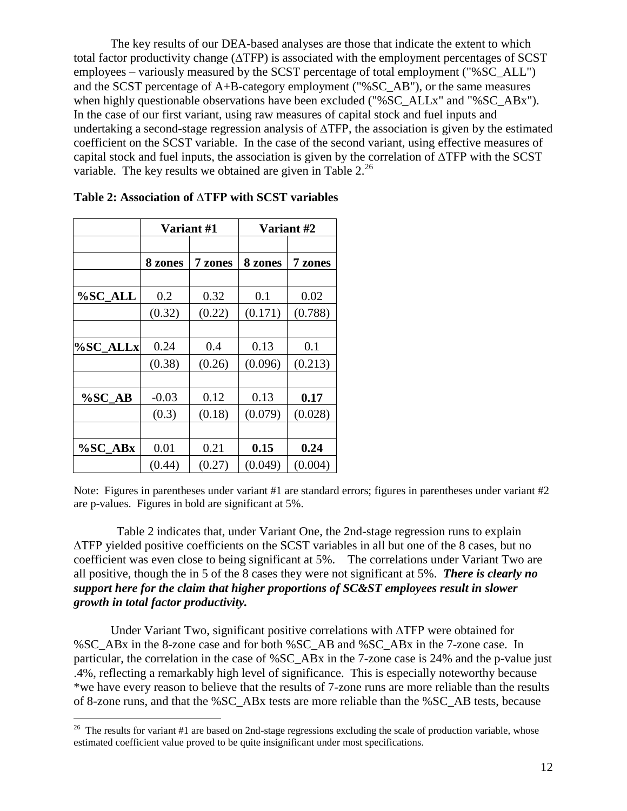The key results of our DEA-based analyses are those that indicate the extent to which total factor productivity change (∆TFP) is associated with the employment percentages of SCST employees – variously measured by the SCST percentage of total employment ("%SC\_ALL") and the SCST percentage of A+B-category employment ("%SC\_AB"), or the same measures when highly questionable observations have been excluded ("%SC\_ALLx" and "%SC\_ABx"). In the case of our first variant, using raw measures of capital stock and fuel inputs and undertaking a second-stage regression analysis of ∆TFP, the association is given by the estimated coefficient on the SCST variable. In the case of the second variant, using effective measures of capital stock and fuel inputs, the association is given by the correlation of ∆TFP with the SCST variable. The key results we obtained are given in Table  $2^{26}$ 

|          |         | Variant #1 | Variant #2 |         |  |  |
|----------|---------|------------|------------|---------|--|--|
|          | 8 zones | 7 zones    | 8 zones    | 7 zones |  |  |
|          |         |            |            |         |  |  |
| %SC_ALL  | 0.2     | 0.32       | 0.1        | 0.02    |  |  |
|          | (0.32)  | (0.22)     | (0.171)    | (0.788) |  |  |
|          |         |            |            |         |  |  |
| %SC_ALLx | 0.24    | 0.4        | 0.13       | 0.1     |  |  |
|          | (0.38)  | (0.26)     | (0.096)    | (0.213) |  |  |
|          |         |            |            |         |  |  |
| %SC AB   | $-0.03$ | 0.12       | 0.13       | 0.17    |  |  |
|          | (0.3)   | (0.18)     | (0.079)    | (0.028) |  |  |
|          |         |            |            |         |  |  |
| %SC_ABx  | 0.01    | 0.21       | 0.15       | 0.24    |  |  |
|          | (0.44)  | (0.27)     | (0.049)    | (0.004) |  |  |

**Table 2: Association of ∆TFP with SCST variables**

Note: Figures in parentheses under variant #1 are standard errors; figures in parentheses under variant #2 are p-values. Figures in bold are significant at 5%.

 Table 2 indicates that, under Variant One, the 2nd-stage regression runs to explain ∆TFP yielded positive coefficients on the SCST variables in all but one of the 8 cases, but no coefficient was even close to being significant at 5%. The correlations under Variant Two are all positive, though the in 5 of the 8 cases they were not significant at 5%. *There is clearly no support here for the claim that higher proportions of SC&ST employees result in slower growth in total factor productivity.*

Under Variant Two, significant positive correlations with ∆TFP were obtained for %SC\_ABx in the 8-zone case and for both %SC\_AB and %SC\_ABx in the 7-zone case. In particular, the correlation in the case of %SC\_ABx in the 7-zone case is 24% and the p-value just .4%, reflecting a remarkably high level of significance. This is especially noteworthy because \*we have every reason to believe that the results of 7-zone runs are more reliable than the results of 8-zone runs, and that the %SC\_ABx tests are more reliable than the %SC\_AB tests, because

<sup>&</sup>lt;sup>26</sup> The results for variant #1 are based on 2nd-stage regressions excluding the scale of production variable, whose estimated coefficient value proved to be quite insignificant under most specifications.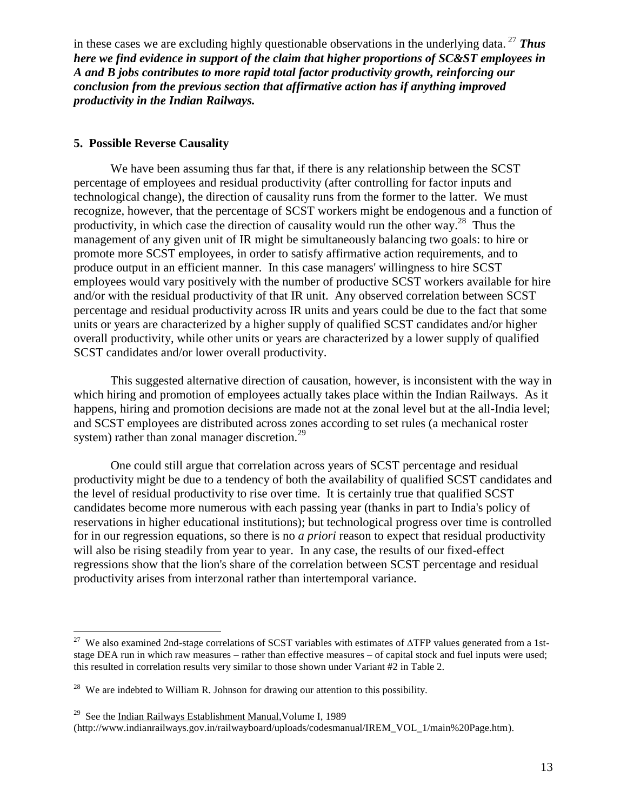in these cases we are excluding highly questionable observations in the underlying data. <sup>27</sup> *Thus here we find evidence in support of the claim that higher proportions of SC&ST employees in A and B jobs contributes to more rapid total factor productivity growth, reinforcing our conclusion from the previous section that affirmative action has if anything improved productivity in the Indian Railways.*

## **5. Possible Reverse Causality**

We have been assuming thus far that, if there is any relationship between the SCST percentage of employees and residual productivity (after controlling for factor inputs and technological change), the direction of causality runs from the former to the latter. We must recognize, however, that the percentage of SCST workers might be endogenous and a function of productivity, in which case the direction of causality would run the other way.<sup>28</sup> Thus the management of any given unit of IR might be simultaneously balancing two goals: to hire or promote more SCST employees, in order to satisfy affirmative action requirements, and to produce output in an efficient manner. In this case managers' willingness to hire SCST employees would vary positively with the number of productive SCST workers available for hire and/or with the residual productivity of that IR unit. Any observed correlation between SCST percentage and residual productivity across IR units and years could be due to the fact that some units or years are characterized by a higher supply of qualified SCST candidates and/or higher overall productivity, while other units or years are characterized by a lower supply of qualified SCST candidates and/or lower overall productivity.

This suggested alternative direction of causation, however, is inconsistent with the way in which hiring and promotion of employees actually takes place within the Indian Railways. As it happens, hiring and promotion decisions are made not at the zonal level but at the all-India level; and SCST employees are distributed across zones according to set rules (a mechanical roster system) rather than zonal manager discretion.<sup>29</sup>

One could still argue that correlation across years of SCST percentage and residual productivity might be due to a tendency of both the availability of qualified SCST candidates and the level of residual productivity to rise over time. It is certainly true that qualified SCST candidates become more numerous with each passing year (thanks in part to India's policy of reservations in higher educational institutions); but technological progress over time is controlled for in our regression equations, so there is no *a priori* reason to expect that residual productivity will also be rising steadily from year to year. In any case, the results of our fixed-effect regressions show that the lion's share of the correlation between SCST percentage and residual productivity arises from interzonal rather than intertemporal variance.

 27 We also examined 2nd-stage correlations of SCST variables with estimates of ∆TFP values generated from a 1ststage DEA run in which raw measures – rather than effective measures – of capital stock and fuel inputs were used; this resulted in correlation results very similar to those shown under Variant #2 in Table 2.

 $2<sup>28</sup>$  We are indebted to William R. Johnson for drawing our attention to this possibility.

<sup>&</sup>lt;sup>29</sup> See the Indian Railways Establishment Manual, Volume I, 1989

[<sup>\(</sup>http://www.indianrailways.gov.in/railwayboard/uploads/codesmanual/IREM\\_VOL\\_1/main%20Page.htm\)](http://www.indianrailways.gov.in/railwayboard/uploads/codesmanual/IREM_VOL_1/main%20Page.htm).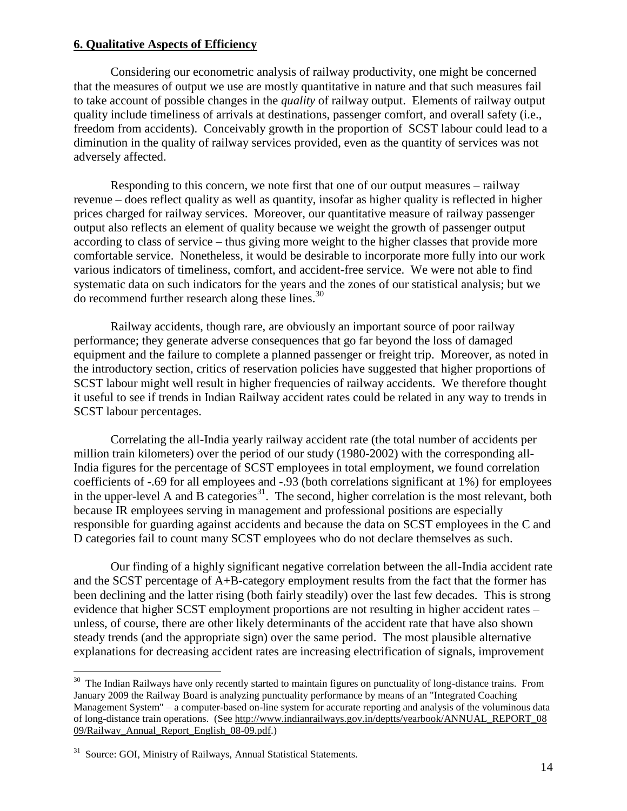#### **6. Qualitative Aspects of Efficiency**

Considering our econometric analysis of railway productivity, one might be concerned that the measures of output we use are mostly quantitative in nature and that such measures fail to take account of possible changes in the *quality* of railway output. Elements of railway output quality include timeliness of arrivals at destinations, passenger comfort, and overall safety (i.e., freedom from accidents). Conceivably growth in the proportion of SCST labour could lead to a diminution in the quality of railway services provided, even as the quantity of services was not adversely affected.

Responding to this concern, we note first that one of our output measures – railway revenue – does reflect quality as well as quantity, insofar as higher quality is reflected in higher prices charged for railway services. Moreover, our quantitative measure of railway passenger output also reflects an element of quality because we weight the growth of passenger output according to class of service – thus giving more weight to the higher classes that provide more comfortable service. Nonetheless, it would be desirable to incorporate more fully into our work various indicators of timeliness, comfort, and accident-free service. We were not able to find systematic data on such indicators for the years and the zones of our statistical analysis; but we do recommend further research along these lines.<sup>30</sup>

Railway accidents, though rare, are obviously an important source of poor railway performance; they generate adverse consequences that go far beyond the loss of damaged equipment and the failure to complete a planned passenger or freight trip. Moreover, as noted in the introductory section, critics of reservation policies have suggested that higher proportions of SCST labour might well result in higher frequencies of railway accidents. We therefore thought it useful to see if trends in Indian Railway accident rates could be related in any way to trends in SCST labour percentages.

Correlating the all-India yearly railway accident rate (the total number of accidents per million train kilometers) over the period of our study (1980-2002) with the corresponding all-India figures for the percentage of SCST employees in total employment, we found correlation coefficients of -.69 for all employees and -.93 (both correlations significant at 1%) for employees in the upper-level A and B categories<sup>31</sup>. The second, higher correlation is the most relevant, both because IR employees serving in management and professional positions are especially responsible for guarding against accidents and because the data on SCST employees in the C and D categories fail to count many SCST employees who do not declare themselves as such.

Our finding of a highly significant negative correlation between the all-India accident rate and the SCST percentage of A+B-category employment results from the fact that the former has been declining and the latter rising (both fairly steadily) over the last few decades. This is strong evidence that higher SCST employment proportions are not resulting in higher accident rates – unless, of course, there are other likely determinants of the accident rate that have also shown steady trends (and the appropriate sign) over the same period. The most plausible alternative explanations for decreasing accident rates are increasing electrification of signals, improvement

<sup>&</sup>lt;sup>30</sup> The Indian Railways have only recently started to maintain figures on punctuality of long-distance trains. From January 2009 the Railway Board is analyzing punctuality performance by means of an "Integrated Coaching Management System" – a computer-based on-line system for accurate reporting and analysis of the voluminous data of long-distance train operations. (See [http://www.indianrailways.gov.in/deptts/yearbook/ANNUAL\\_REPORT\\_08](https://exchange.umich.edu/owa/redir.aspx?C=ee69efd458874a11bbe0521c06fb9384&URL=http%3a%2f%2fwww.indianrailways.gov.in%2fdeptts%2fyearbook%2fANNUAL_REPORT_08-09%2fRailway_Annual_Report_English_08-09.pdf)  [09/Railway\\_Annual\\_Report\\_English\\_08-09.pdf.](https://exchange.umich.edu/owa/redir.aspx?C=ee69efd458874a11bbe0521c06fb9384&URL=http%3a%2f%2fwww.indianrailways.gov.in%2fdeptts%2fyearbook%2fANNUAL_REPORT_08-09%2fRailway_Annual_Report_English_08-09.pdf))

<sup>&</sup>lt;sup>31</sup> Source: GOI, Ministry of Railways, Annual Statistical Statements.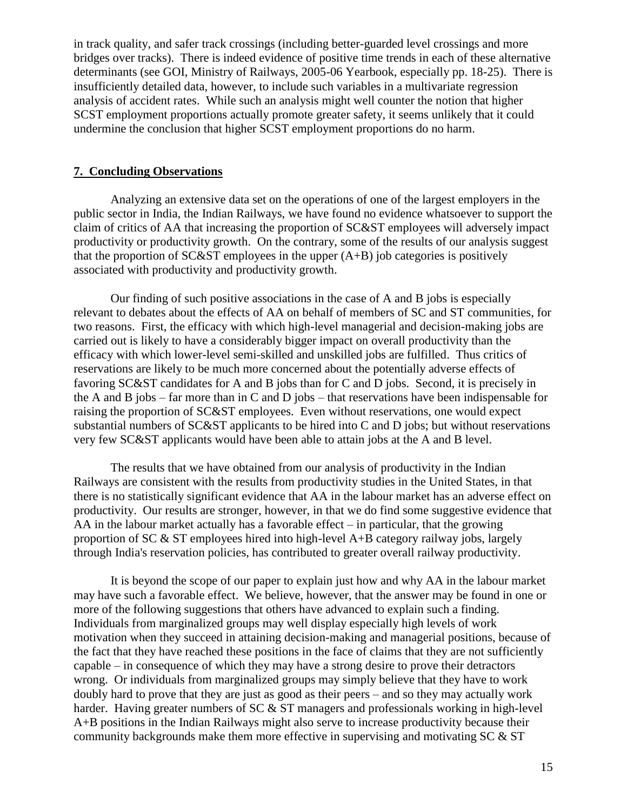in track quality, and safer track crossings (including better-guarded level crossings and more bridges over tracks). There is indeed evidence of positive time trends in each of these alternative determinants (see GOI, Ministry of Railways, 2005-06 Yearbook, especially pp. 18-25). There is insufficiently detailed data, however, to include such variables in a multivariate regression analysis of accident rates. While such an analysis might well counter the notion that higher SCST employment proportions actually promote greater safety, it seems unlikely that it could undermine the conclusion that higher SCST employment proportions do no harm.

## **7. Concluding Observations**

Analyzing an extensive data set on the operations of one of the largest employers in the public sector in India, the Indian Railways, we have found no evidence whatsoever to support the claim of critics of AA that increasing the proportion of SC&ST employees will adversely impact productivity or productivity growth. On the contrary, some of the results of our analysis suggest that the proportion of  $SC&ST$  employees in the upper  $(A+B)$  job categories is positively associated with productivity and productivity growth.

Our finding of such positive associations in the case of A and B jobs is especially relevant to debates about the effects of AA on behalf of members of SC and ST communities, for two reasons. First, the efficacy with which high-level managerial and decision-making jobs are carried out is likely to have a considerably bigger impact on overall productivity than the efficacy with which lower-level semi-skilled and unskilled jobs are fulfilled. Thus critics of reservations are likely to be much more concerned about the potentially adverse effects of favoring SC&ST candidates for A and B jobs than for C and D jobs. Second, it is precisely in the A and B jobs – far more than in C and D jobs – that reservations have been indispensable for raising the proportion of SC&ST employees. Even without reservations, one would expect substantial numbers of SC&ST applicants to be hired into C and D jobs; but without reservations very few SC&ST applicants would have been able to attain jobs at the A and B level.

The results that we have obtained from our analysis of productivity in the Indian Railways are consistent with the results from productivity studies in the United States, in that there is no statistically significant evidence that AA in the labour market has an adverse effect on productivity. Our results are stronger, however, in that we do find some suggestive evidence that AA in the labour market actually has a favorable effect  $-$  in particular, that the growing proportion of SC & ST employees hired into high-level A+B category railway jobs, largely through India's reservation policies, has contributed to greater overall railway productivity.

It is beyond the scope of our paper to explain just how and why AA in the labour market may have such a favorable effect. We believe, however, that the answer may be found in one or more of the following suggestions that others have advanced to explain such a finding. Individuals from marginalized groups may well display especially high levels of work motivation when they succeed in attaining decision-making and managerial positions, because of the fact that they have reached these positions in the face of claims that they are not sufficiently capable – in consequence of which they may have a strong desire to prove their detractors wrong. Or individuals from marginalized groups may simply believe that they have to work doubly hard to prove that they are just as good as their peers – and so they may actually work harder. Having greater numbers of SC & ST managers and professionals working in high-level A+B positions in the Indian Railways might also serve to increase productivity because their community backgrounds make them more effective in supervising and motivating SC & ST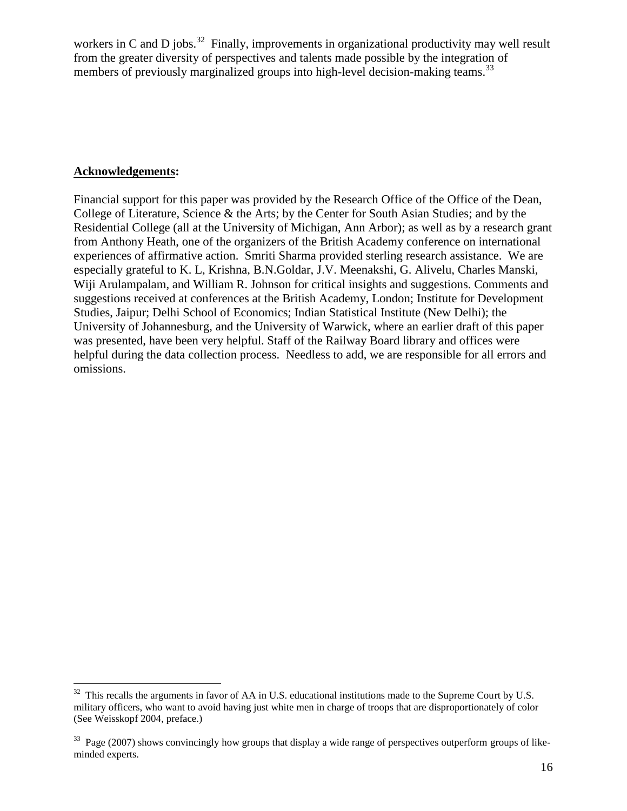workers in C and D jobs.<sup>32</sup> Finally, improvements in organizational productivity may well result from the greater diversity of perspectives and talents made possible by the integration of members of previously marginalized groups into high-level decision-making teams.<sup>33</sup>

## **Acknowledgements:**

Financial support for this paper was provided by the Research Office of the Office of the Dean, College of Literature, Science & the Arts; by the Center for South Asian Studies; and by the Residential College (all at the University of Michigan, Ann Arbor); as well as by a research grant from Anthony Heath, one of the organizers of the British Academy conference on international experiences of affirmative action. Smriti Sharma provided sterling research assistance. We are especially grateful to K. L, Krishna, B.N.Goldar, J.V. Meenakshi, G. Alivelu, Charles Manski, Wiji Arulampalam, and William R. Johnson for critical insights and suggestions. Comments and suggestions received at conferences at the British Academy, London; Institute for Development Studies, Jaipur; Delhi School of Economics; Indian Statistical Institute (New Delhi); the University of Johannesburg, and the University of Warwick, where an earlier draft of this paper was presented, have been very helpful. Staff of the Railway Board library and offices were helpful during the data collection process. Needless to add, we are responsible for all errors and omissions.

<sup>&</sup>lt;sup>32</sup> This recalls the arguments in favor of AA in U.S. educational institutions made to the Supreme Court by U.S. military officers, who want to avoid having just white men in charge of troops that are disproportionately of color (See Weisskopf 2004, preface.)

 $33$  Page (2007) shows convincingly how groups that display a wide range of perspectives outperform groups of likeminded experts.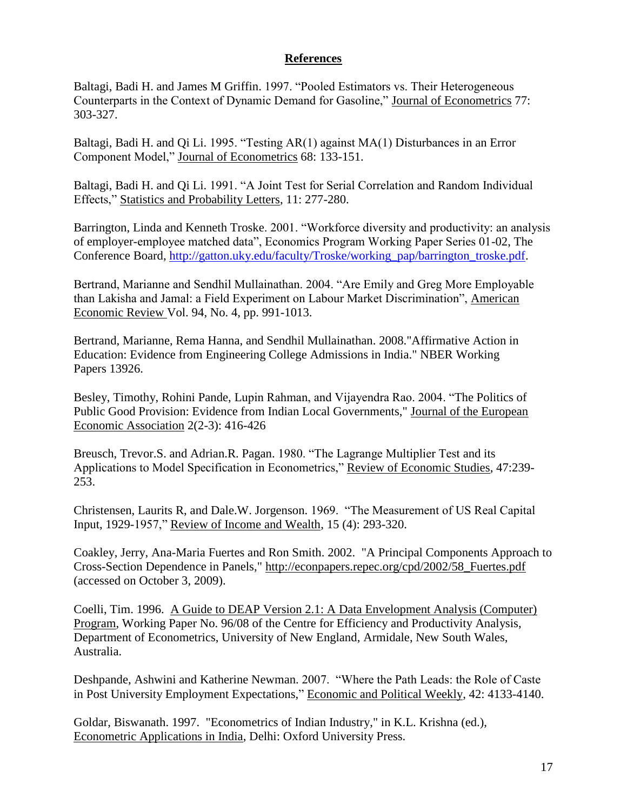## **References**

Baltagi, Badi H. and James M Griffin. 1997. "Pooled Estimators vs. Their Heterogeneous Counterparts in the Context of Dynamic Demand for Gasoline," Journal of Econometrics 77: 303-327.

Baltagi, Badi H. and Qi Li. 1995. "Testing AR(1) against MA(1) Disturbances in an Error Component Model," Journal of Econometrics 68: 133-151.

Baltagi, Badi H. and Qi Li. 1991. "A Joint Test for Serial Correlation and Random Individual Effects," Statistics and Probability Letters, 11: 277-280.

Barrington, Linda and Kenneth Troske. 2001. "Workforce diversity and productivity: an analysis of employer-employee matched data", Economics Program Working Paper Series 01-02, The Conference Board, [http://gatton.uky.edu/faculty/Troske/working\\_pap/barrington\\_troske.pdf.](http://gatton.uky.edu/faculty/Troske/working_pap/barrington_troske.pdf)

Bertrand, Marianne and Sendhil Mullainathan. 2004. "Are Emily and Greg More Employable than Lakisha and Jamal: a Field Experiment on Labour Market Discrimination", American Economic Review Vol. 94, No. 4, pp. 991-1013.

Bertrand, Marianne, Rema Hanna, and Sendhil Mullainathan. 2008."Affirmative Action in Education: Evidence from Engineering College Admissions in India." NBER Working Papers 13926.

Besley, Timothy, Rohini Pande, Lupin Rahman, and Vijayendra Rao. 2004. "The Politics of Public Good Provision: Evidence from Indian Local Governments," Journal of the European Economic Association 2(2-3): 416-426

Breusch, Trevor.S. and Adrian.R. Pagan. 1980. "The Lagrange Multiplier Test and its Applications to Model Specification in Econometrics," Review of Economic Studies, 47:239- 253.

Christensen, Laurits R, and Dale.W. Jorgenson. 1969. "The Measurement of US Real Capital Input, 1929-1957," Review of Income and Wealth, 15 (4): 293-320.

Coakley, Jerry, Ana-Maria Fuertes and Ron Smith. 2002. "A Principal Components Approach to Cross-Section Dependence in Panels," [http://econpapers.repec.org/cpd/2002/58\\_Fuertes.pdf](http://econpapers.repec.org/cpd/2002/58_Fuertes.pdf) (accessed on October 3, 2009).

Coelli, Tim. 1996. A Guide to DEAP Version 2.1: A Data Envelopment Analysis (Computer) Program, Working Paper No. 96/08 of the Centre for Efficiency and Productivity Analysis, Department of Econometrics, University of New England, Armidale, New South Wales, Australia.

Deshpande, Ashwini and Katherine Newman. 2007. "Where the Path Leads: the Role of Caste in Post University Employment Expectations," Economic and Political Weekly, 42: 4133-4140.

Goldar, Biswanath. 1997. "Econometrics of Indian Industry," in K.L. Krishna (ed.), Econometric Applications in India, Delhi: Oxford University Press.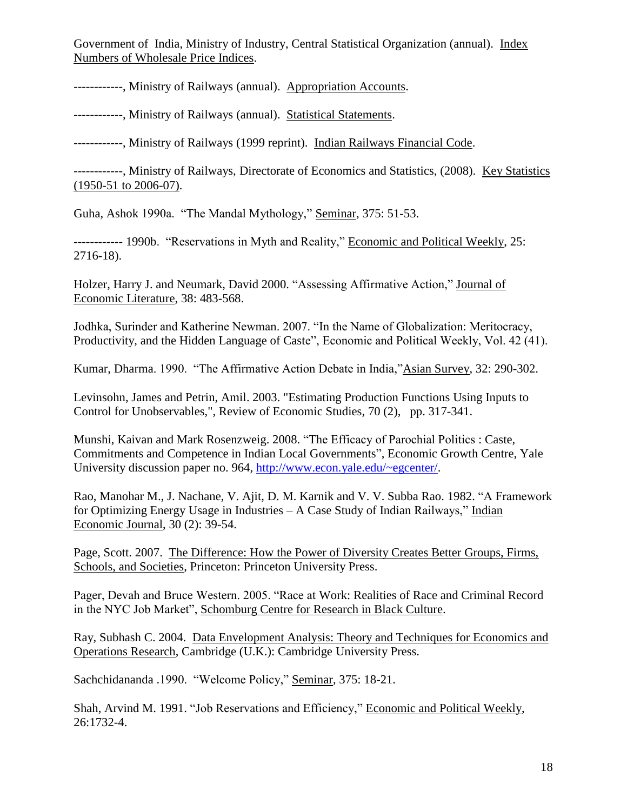Government of India, Ministry of Industry, Central Statistical Organization (annual). Index Numbers of Wholesale Price Indices.

------------, Ministry of Railways (annual). Appropriation Accounts.

------------, Ministry of Railways (annual). Statistical Statements.

------------, Ministry of Railways (1999 reprint). Indian Railways Financial Code.

------------, Ministry of Railways, Directorate of Economics and Statistics, (2008). Key Statistics (1950-51 to 2006-07).

Guha, Ashok 1990a. "The Mandal Mythology," Seminar, 375: 51-53.

------------ 1990b. "Reservations in Myth and Reality," Economic and Political Weekly, 25: 2716-18).

Holzer, Harry J. and Neumark, David 2000. "Assessing Affirmative Action," Journal of Economic Literature, 38: 483-568.

Jodhka, Surinder and Katherine Newman. 2007. "In the Name of Globalization: Meritocracy, Productivity, and the Hidden Language of Caste", Economic and Political Weekly, Vol. 42 (41).

Kumar, Dharma. 1990. "The Affirmative Action Debate in India,"Asian Survey, 32: 290-302.

Levinsohn, James and Petrin, Amil. 2003. "Estimating Production Functions Using Inputs to Control for Unobservables,", Review of Economic Studies, 70 (2), pp. 317-341.

Munshi, Kaivan and Mark Rosenzweig. 2008. "The Efficacy of Parochial Politics : Caste, Commitments and Competence in Indian Local Governments", Economic Growth Centre, Yale University discussion paper no. 964, [http://www.econ.yale.edu/~egcenter/.](http://www.econ.yale.edu/~egcenter/)

Rao, Manohar M., J. Nachane, V. Ajit, D. M. Karnik and V. V. Subba Rao. 1982. "A Framework for Optimizing Energy Usage in Industries – A Case Study of Indian Railways," Indian Economic Journal, 30 (2): 39-54.

Page, Scott. 2007. The Difference: How the Power of Diversity Creates Better Groups, Firms, Schools, and Societies, Princeton: Princeton University Press.

Pager, Devah and Bruce Western. 2005. "Race at Work: Realities of Race and Criminal Record in the NYC Job Market", Schomburg Centre for Research in Black Culture.

Ray, Subhash C. 2004. Data Envelopment Analysis: Theory and Techniques for Economics and Operations Research, Cambridge (U.K.): Cambridge University Press.

Sachchidananda .1990. "Welcome Policy," Seminar, 375: 18-21.

Shah, Arvind M. 1991. "Job Reservations and Efficiency," Economic and Political Weekly, 26:1732-4.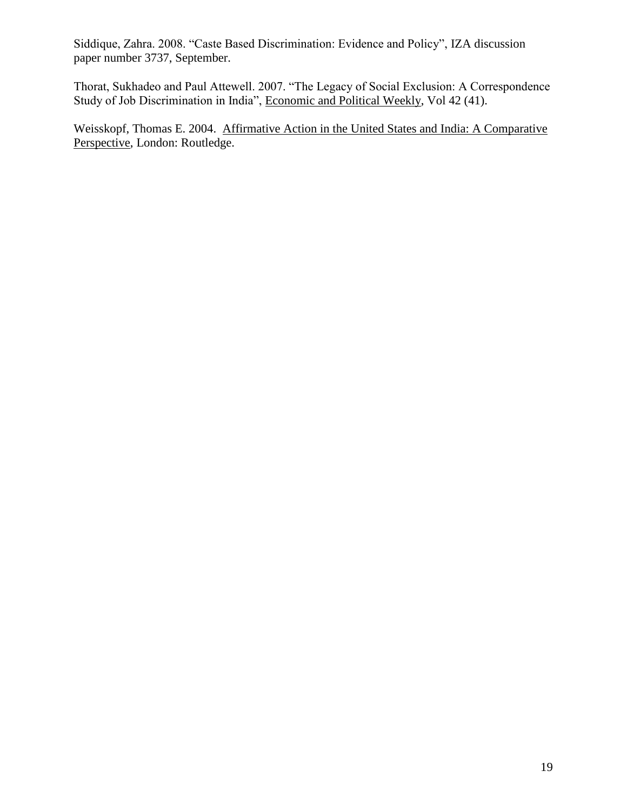Siddique, Zahra. 2008. "Caste Based Discrimination: Evidence and Policy", IZA discussion paper number 3737, September.

Thorat, Sukhadeo and Paul Attewell. 2007. "The Legacy of Social Exclusion: A Correspondence Study of Job Discrimination in India", Economic and Political Weekly, Vol 42 (41).

Weisskopf, Thomas E. 2004. Affirmative Action in the United States and India: A Comparative Perspective, London: Routledge.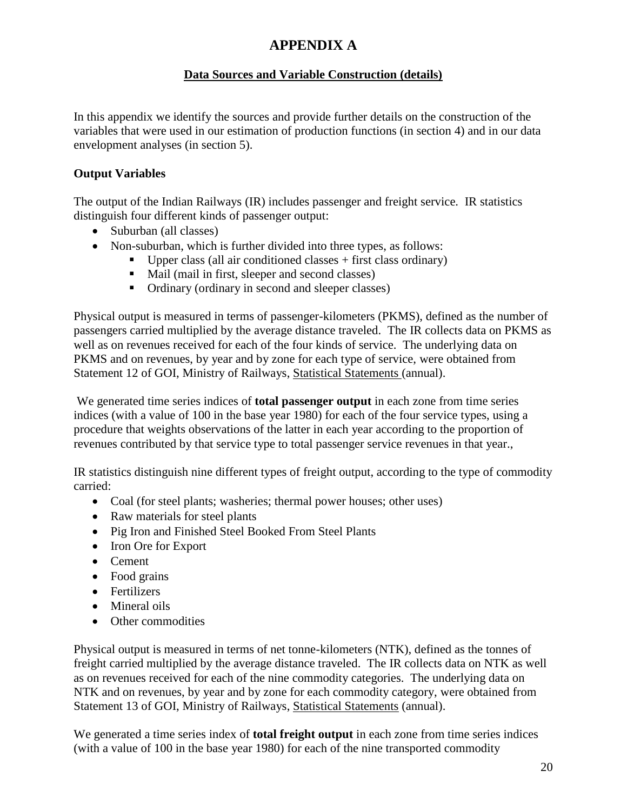# **APPENDIX A**

## **Data Sources and Variable Construction (details)**

In this appendix we identify the sources and provide further details on the construction of the variables that were used in our estimation of production functions (in section 4) and in our data envelopment analyses (in section 5).

## **Output Variables**

The output of the Indian Railways (IR) includes passenger and freight service. IR statistics distinguish four different kinds of passenger output:

- Suburban (all classes)
- Non-suburban, which is further divided into three types, as follows:
	- Upper class (all air conditioned classes  $+$  first class ordinary)
	- Mail (mail in first, sleeper and second classes)
	- Ordinary (ordinary in second and sleeper classes)

Physical output is measured in terms of passenger-kilometers (PKMS), defined as the number of passengers carried multiplied by the average distance traveled. The IR collects data on PKMS as well as on revenues received for each of the four kinds of service. The underlying data on PKMS and on revenues, by year and by zone for each type of service, were obtained from Statement 12 of GOI, Ministry of Railways, Statistical Statements (annual).

We generated time series indices of **total passenger output** in each zone from time series indices (with a value of 100 in the base year 1980) for each of the four service types, using a procedure that weights observations of the latter in each year according to the proportion of revenues contributed by that service type to total passenger service revenues in that year.,

IR statistics distinguish nine different types of freight output, according to the type of commodity carried:

- Coal (for steel plants; washeries; thermal power houses; other uses)
- Raw materials for steel plants
- Pig Iron and Finished Steel Booked From Steel Plants
- Iron Ore for Export
- Cement
- Food grains
- Fertilizers
- Mineral oils
- Other commodities

Physical output is measured in terms of net tonne-kilometers (NTK), defined as the tonnes of freight carried multiplied by the average distance traveled. The IR collects data on NTK as well as on revenues received for each of the nine commodity categories. The underlying data on NTK and on revenues, by year and by zone for each commodity category, were obtained from Statement 13 of GOI, Ministry of Railways, Statistical Statements (annual).

We generated a time series index of **total freight output** in each zone from time series indices (with a value of 100 in the base year 1980) for each of the nine transported commodity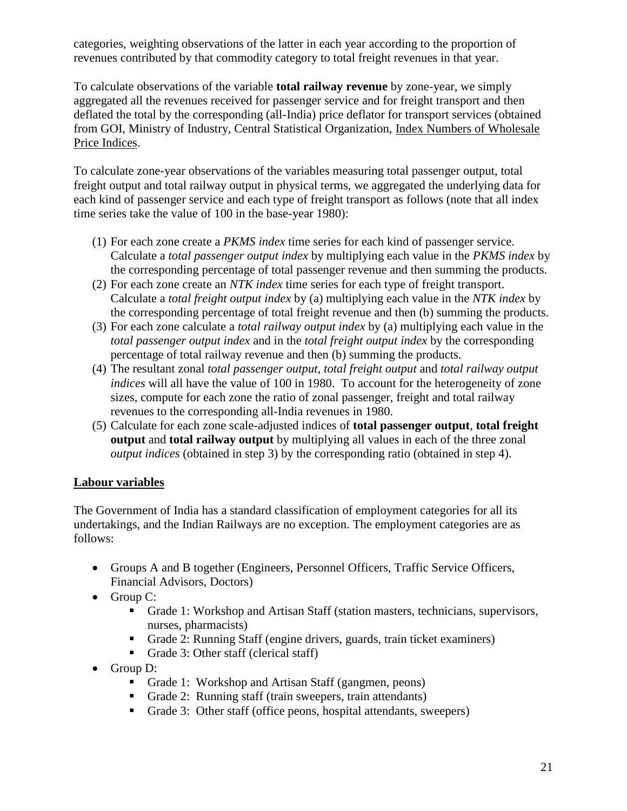categories, weighting observations of the latter in each year according to the proportion of revenues contributed by that commodity category to total freight revenues in that year.

To calculate observations of the variable **total railway revenue** by zone-year, we simply aggregated all the revenues received for passenger service and for freight transport and then deflated the total by the corresponding (all-India) price deflator for transport services (obtained from GOI, Ministry of Industry, Central Statistical Organization, Index Numbers of Wholesale Price Indices.

To calculate zone-year observations of the variables measuring total passenger output, total freight output and total railway output in physical terms, we aggregated the underlying data for each kind of passenger service and each type of freight transport as follows (note that all index time series take the value of 100 in the base-year 1980):

- (1) For each zone create a *PKMS index* time series for each kind of passenger service. Calculate a *total passenger output index* by multiplying each value in the *PKMS index* by the corresponding percentage of total passenger revenue and then summing the products.
- (2) For each zone create an *NTK index* time series for each type of freight transport. Calculate a *total freight output index* by (a) multiplying each value in the *NTK index* by the corresponding percentage of total freight revenue and then (b) summing the products.
- (3) For each zone calculate a *total railway output index* by (a) multiplying each value in the *total passenger output index* and in the *total freight output index* by the corresponding percentage of total railway revenue and then (b) summing the products.
- (4) The resultant zonal *total passenger output, total freight output* and *total railway output indices* will all have the value of 100 in 1980. To account for the heterogeneity of zone sizes, compute for each zone the ratio of zonal passenger, freight and total railway revenues to the corresponding all-India revenues in 1980.
- (5) Calculate for each zone scale-adjusted indices of **total passenger output**, **total freight output** and **total railway output** by multiplying all values in each of the three zonal *output indices* (obtained in step 3) by the corresponding ratio (obtained in step 4).

# **Labour variables**

The Government of India has a standard classification of employment categories for all its undertakings, and the Indian Railways are no exception. The employment categories are as follows:

- Groups A and B together (Engineers, Personnel Officers, Traffic Service Officers, Financial Advisors, Doctors)
- Group C:
	- Grade 1: Workshop and Artisan Staff (station masters, technicians, supervisors, nurses, pharmacists)
	- Grade 2: Running Staff (engine drivers, guards, train ticket examiners)
	- Grade 3: Other staff (clerical staff)
- Group D:
	- Grade 1: Workshop and Artisan Staff (gangmen, peons)
	- Grade 2: Running staff (train sweepers, train attendants)
	- Grade 3: Other staff (office peons, hospital attendants, sweepers)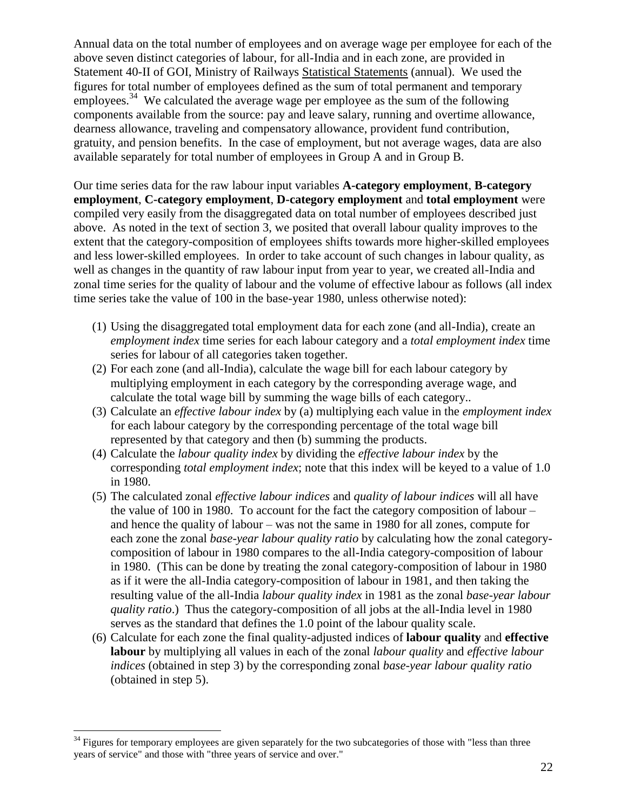Annual data on the total number of employees and on average wage per employee for each of the above seven distinct categories of labour, for all-India and in each zone, are provided in Statement 40-II of GOI, Ministry of Railways Statistical Statements (annual). We used the figures for total number of employees defined as the sum of total permanent and temporary employees.<sup>34</sup> We calculated the average wage per employee as the sum of the following components available from the source: pay and leave salary, running and overtime allowance, dearness allowance, traveling and compensatory allowance, provident fund contribution, gratuity, and pension benefits. In the case of employment, but not average wages, data are also available separately for total number of employees in Group A and in Group B.

Our time series data for the raw labour input variables **A-category employment**, **B-category employment**, **C-category employment**, **D-category employment** and **total employment** were compiled very easily from the disaggregated data on total number of employees described just above. As noted in the text of section 3, we posited that overall labour quality improves to the extent that the category-composition of employees shifts towards more higher-skilled employees and less lower-skilled employees. In order to take account of such changes in labour quality, as well as changes in the quantity of raw labour input from year to year, we created all-India and zonal time series for the quality of labour and the volume of effective labour as follows (all index time series take the value of 100 in the base-year 1980, unless otherwise noted):

- (1) Using the disaggregated total employment data for each zone (and all-India), create an *employment index* time series for each labour category and a *total employment index* time series for labour of all categories taken together.
- (2) For each zone (and all-India), calculate the wage bill for each labour category by multiplying employment in each category by the corresponding average wage, and calculate the total wage bill by summing the wage bills of each category..
- (3) Calculate an *effective labour index* by (a) multiplying each value in the *employment index* for each labour category by the corresponding percentage of the total wage bill represented by that category and then (b) summing the products.
- (4) Calculate the *labour quality index* by dividing the *effective labour index* by the corresponding *total employment index*; note that this index will be keyed to a value of 1.0 in 1980.
- (5) The calculated zonal *effective labour indices* and *quality of labour indices* will all have the value of 100 in 1980. To account for the fact the category composition of labour – and hence the quality of labour – was not the same in 1980 for all zones, compute for each zone the zonal *base-year labour quality ratio* by calculating how the zonal categorycomposition of labour in 1980 compares to the all-India category-composition of labour in 1980. (This can be done by treating the zonal category-composition of labour in 1980 as if it were the all-India category-composition of labour in 1981, and then taking the resulting value of the all-India *labour quality index* in 1981 as the zonal *base-year labour quality ratio*.) Thus the category-composition of all jobs at the all-India level in 1980 serves as the standard that defines the 1.0 point of the labour quality scale.
- (6) Calculate for each zone the final quality-adjusted indices of **labour quality** and **effective labour** by multiplying all values in each of the zonal *labour quality* and *effective labour indices* (obtained in step 3) by the corresponding zonal *base-year labour quality ratio* (obtained in step 5).

 $\overline{a}$ 

<sup>&</sup>lt;sup>34</sup> Figures for temporary employees are given separately for the two subcategories of those with "less than three years of service" and those with "three years of service and over."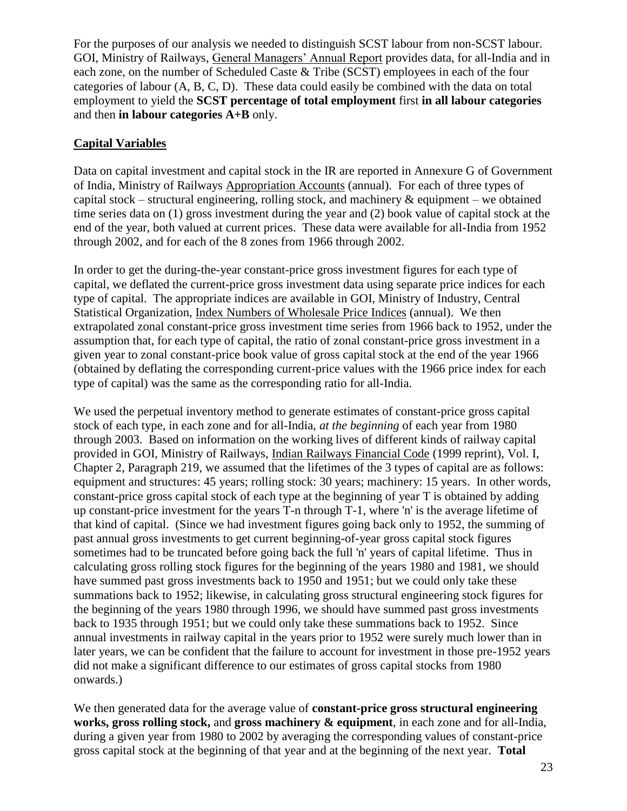For the purposes of our analysis we needed to distinguish SCST labour from non-SCST labour. GOI, Ministry of Railways, General Managers' Annual Report provides data, for all-India and in each zone, on the number of Scheduled Caste & Tribe (SCST) employees in each of the four categories of labour (A, B, C, D). These data could easily be combined with the data on total employment to yield the **SCST percentage of total employment** first **in all labour categories**  and then **in labour categories A+B** only.

## **Capital Variables**

Data on capital investment and capital stock in the IR are reported in Annexure G of Government of India, Ministry of Railways Appropriation Accounts (annual). For each of three types of capital stock – structural engineering, rolling stock, and machinery  $\&$  equipment – we obtained time series data on (1) gross investment during the year and (2) book value of capital stock at the end of the year, both valued at current prices. These data were available for all-India from 1952 through 2002, and for each of the 8 zones from 1966 through 2002.

In order to get the during-the-year constant-price gross investment figures for each type of capital, we deflated the current-price gross investment data using separate price indices for each type of capital. The appropriate indices are available in GOI, Ministry of Industry, Central Statistical Organization, Index Numbers of Wholesale Price Indices (annual). We then extrapolated zonal constant-price gross investment time series from 1966 back to 1952, under the assumption that, for each type of capital, the ratio of zonal constant-price gross investment in a given year to zonal constant-price book value of gross capital stock at the end of the year 1966 (obtained by deflating the corresponding current-price values with the 1966 price index for each type of capital) was the same as the corresponding ratio for all-India.

We used the perpetual inventory method to generate estimates of constant-price gross capital stock of each type, in each zone and for all-India, *at the beginning* of each year from 1980 through 2003. Based on information on the working lives of different kinds of railway capital provided in GOI, Ministry of Railways, Indian Railways Financial Code (1999 reprint), Vol. I, Chapter 2, Paragraph 219, we assumed that the lifetimes of the 3 types of capital are as follows: equipment and structures: 45 years; rolling stock: 30 years; machinery: 15 years. In other words, constant-price gross capital stock of each type at the beginning of year T is obtained by adding up constant-price investment for the years T-n through T-1, where 'n' is the average lifetime of that kind of capital. (Since we had investment figures going back only to 1952, the summing of past annual gross investments to get current beginning-of-year gross capital stock figures sometimes had to be truncated before going back the full 'n' years of capital lifetime. Thus in calculating gross rolling stock figures for the beginning of the years 1980 and 1981, we should have summed past gross investments back to 1950 and 1951; but we could only take these summations back to 1952; likewise, in calculating gross structural engineering stock figures for the beginning of the years 1980 through 1996, we should have summed past gross investments back to 1935 through 1951; but we could only take these summations back to 1952. Since annual investments in railway capital in the years prior to 1952 were surely much lower than in later years, we can be confident that the failure to account for investment in those pre-1952 years did not make a significant difference to our estimates of gross capital stocks from 1980 onwards.)

We then generated data for the average value of **constant-price gross structural engineering works, gross rolling stock,** and **gross machinery & equipment**, in each zone and for all-India, during a given year from 1980 to 2002 by averaging the corresponding values of constant-price gross capital stock at the beginning of that year and at the beginning of the next year. **Total**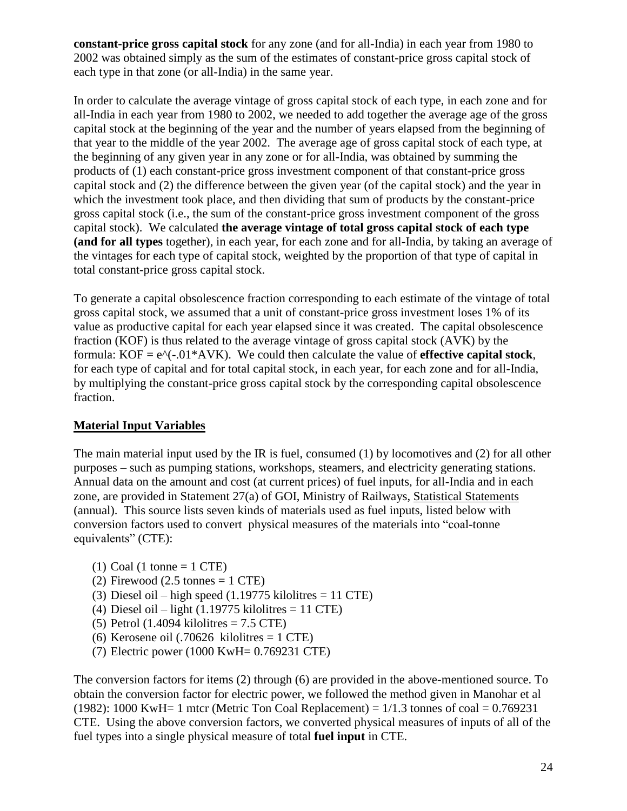**constant-price gross capital stock** for any zone (and for all-India) in each year from 1980 to 2002 was obtained simply as the sum of the estimates of constant-price gross capital stock of each type in that zone (or all-India) in the same year.

In order to calculate the average vintage of gross capital stock of each type, in each zone and for all-India in each year from 1980 to 2002, we needed to add together the average age of the gross capital stock at the beginning of the year and the number of years elapsed from the beginning of that year to the middle of the year 2002. The average age of gross capital stock of each type, at the beginning of any given year in any zone or for all-India, was obtained by summing the products of (1) each constant-price gross investment component of that constant-price gross capital stock and (2) the difference between the given year (of the capital stock) and the year in which the investment took place, and then dividing that sum of products by the constant-price gross capital stock (i.e., the sum of the constant-price gross investment component of the gross capital stock). We calculated **the average vintage of total gross capital stock of each type (and for all types** together), in each year, for each zone and for all-India, by taking an average of the vintages for each type of capital stock, weighted by the proportion of that type of capital in total constant-price gross capital stock.

To generate a capital obsolescence fraction corresponding to each estimate of the vintage of total gross capital stock, we assumed that a unit of constant-price gross investment loses 1% of its value as productive capital for each year elapsed since it was created. The capital obsolescence fraction (KOF) is thus related to the average vintage of gross capital stock (AVK) by the formula: KOF = e^(-.01\*AVK). We could then calculate the value of **effective capital stock**, for each type of capital and for total capital stock, in each year, for each zone and for all-India, by multiplying the constant-price gross capital stock by the corresponding capital obsolescence fraction.

## **Material Input Variables**

The main material input used by the IR is fuel, consumed (1) by locomotives and (2) for all other purposes – such as pumping stations, workshops, steamers, and electricity generating stations. Annual data on the amount and cost (at current prices) of fuel inputs, for all-India and in each zone, are provided in Statement 27(a) of GOI, Ministry of Railways, Statistical Statements (annual). This source lists seven kinds of materials used as fuel inputs, listed below with conversion factors used to convert physical measures of the materials into "coal-tonne equivalents" (CTE):

- (1) Coal (1 tonne  $= 1$  CTE)
- (2) Firewood (2.5 tonnes  $= 1$  CTE)
- (3) Diesel oil high speed  $(1.19775 \text{ kilolitres} = 11 \text{ CTE})$
- (4) Diesel oil light  $(1.19775 \text{ kilolitres} = 11 \text{ CTE})$
- $(5)$  Petrol  $(1.4094$  kilolitres = 7.5 CTE)
- (6) Kerosene oil (.70626 kilolitres = 1 CTE)
- (7) Electric power (1000 KwH= 0.769231 CTE)

The conversion factors for items (2) through (6) are provided in the above-mentioned source. To obtain the conversion factor for electric power, we followed the method given in Manohar et al (1982): 1000 KwH= 1 mtcr (Metric Ton Coal Replacement) =  $1/1.3$  tonnes of coal = 0.769231 CTE. Using the above conversion factors, we converted physical measures of inputs of all of the fuel types into a single physical measure of total **fuel input** in CTE.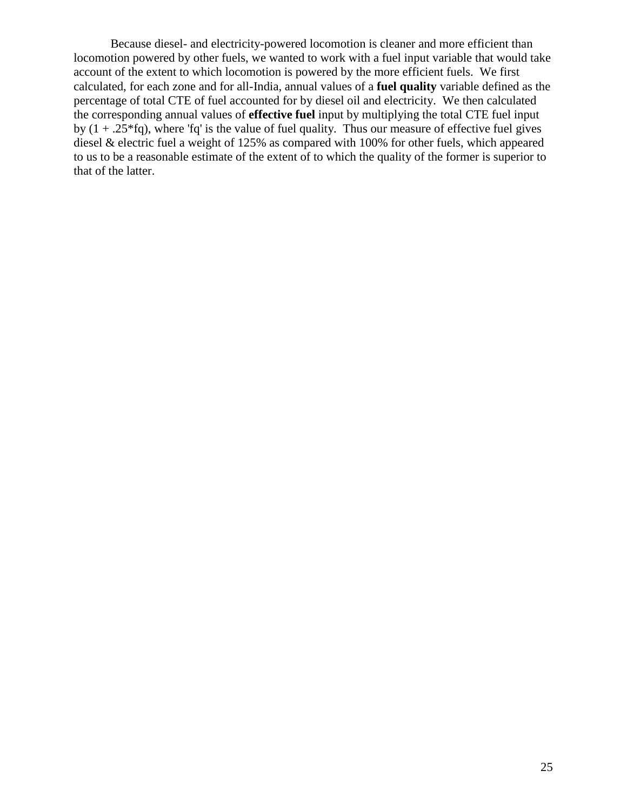Because diesel- and electricity-powered locomotion is cleaner and more efficient than locomotion powered by other fuels, we wanted to work with a fuel input variable that would take account of the extent to which locomotion is powered by the more efficient fuels. We first calculated, for each zone and for all-India, annual values of a **fuel quality** variable defined as the percentage of total CTE of fuel accounted for by diesel oil and electricity. We then calculated the corresponding annual values of **effective fuel** input by multiplying the total CTE fuel input by  $(1 + .25*fq)$ , where 'fq' is the value of fuel quality. Thus our measure of effective fuel gives diesel & electric fuel a weight of 125% as compared with 100% for other fuels, which appeared to us to be a reasonable estimate of the extent of to which the quality of the former is superior to that of the latter.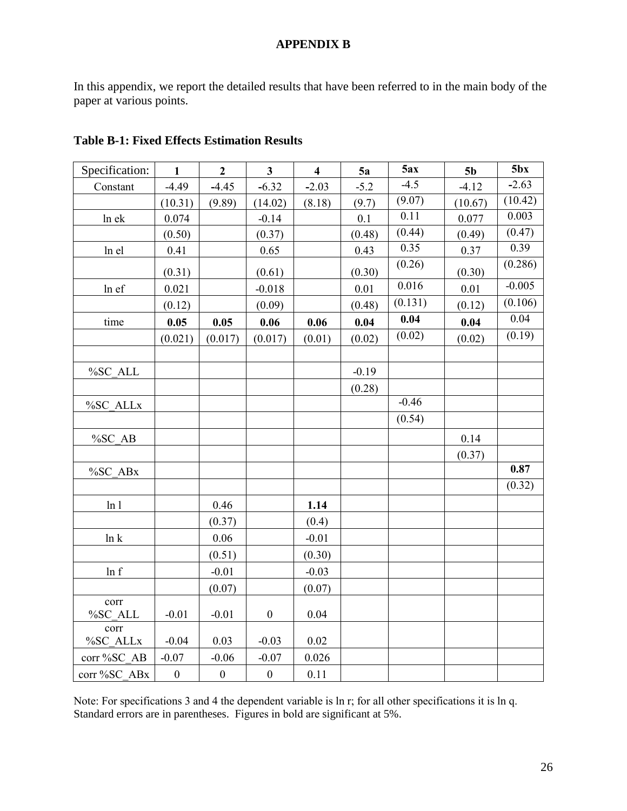## **APPENDIX B**

In this appendix, we report the detailed results that have been referred to in the main body of the paper at various points.

| Specification:   | $\mathbf{1}$     | $\overline{2}$   | $\overline{\mathbf{3}}$ | $\overline{\mathbf{4}}$ | 5a      | 5ax     | 5 <sub>b</sub> | 5 <sub>bx</sub> |
|------------------|------------------|------------------|-------------------------|-------------------------|---------|---------|----------------|-----------------|
| Constant         | $-4.49$          | $-4.45$          | $-6.32$                 | $-2.03$                 | $-5.2$  | $-4.5$  | $-4.12$        | $-2.63$         |
|                  | (10.31)          | (9.89)           | (14.02)                 | (8.18)                  | (9.7)   | (9.07)  | (10.67)        | (10.42)         |
| ln ek            | 0.074            |                  | $-0.14$                 |                         | 0.1     | 0.11    | 0.077          | 0.003           |
|                  | (0.50)           |                  | (0.37)                  |                         | (0.48)  | (0.44)  | (0.49)         | (0.47)          |
| ln el            | 0.41             |                  | 0.65                    |                         | 0.43    | 0.35    | 0.37           | 0.39            |
|                  | (0.31)           |                  | (0.61)                  |                         | (0.30)  | (0.26)  | (0.30)         | (0.286)         |
| In ef            | 0.021            |                  | $-0.018$                |                         | 0.01    | 0.016   | 0.01           | $-0.005$        |
|                  | (0.12)           |                  | (0.09)                  |                         | (0.48)  | (0.131) | (0.12)         | (0.106)         |
| time             | 0.05             | 0.05             | 0.06                    | 0.06                    | 0.04    | 0.04    | 0.04           | 0.04            |
|                  | (0.021)          | (0.017)          | (0.017)                 | (0.01)                  | (0.02)  | (0.02)  | (0.02)         | (0.19)          |
|                  |                  |                  |                         |                         |         |         |                |                 |
| %SC ALL          |                  |                  |                         |                         | $-0.19$ |         |                |                 |
|                  |                  |                  |                         |                         | (0.28)  |         |                |                 |
| %SC ALLx         |                  |                  |                         |                         |         | $-0.46$ |                |                 |
|                  |                  |                  |                         |                         |         | (0.54)  |                |                 |
| %SC AB           |                  |                  |                         |                         |         |         | 0.14           |                 |
|                  |                  |                  |                         |                         |         |         | (0.37)         |                 |
| %SC ABx          |                  |                  |                         |                         |         |         |                | 0.87            |
|                  |                  |                  |                         |                         |         |         |                | (0.32)          |
| ln 1             |                  | 0.46             |                         | 1.14                    |         |         |                |                 |
|                  |                  | (0.37)           |                         | (0.4)                   |         |         |                |                 |
| ln k             |                  | 0.06             |                         | $-0.01$                 |         |         |                |                 |
|                  |                  | (0.51)           |                         | (0.30)                  |         |         |                |                 |
| ln f             |                  | $-0.01$          |                         | $-0.03$                 |         |         |                |                 |
|                  |                  | (0.07)           |                         | (0.07)                  |         |         |                |                 |
| corr<br>%SC ALL  | $-0.01$          | $-0.01$          | $\boldsymbol{0}$        | 0.04                    |         |         |                |                 |
| corr<br>%SC ALLx | $-0.04$          | 0.03             | $-0.03$                 | 0.02                    |         |         |                |                 |
| corr%SC AB       | $-0.07$          | $-0.06$          | $-0.07$                 | 0.026                   |         |         |                |                 |
| corr %SC ABx     | $\boldsymbol{0}$ | $\boldsymbol{0}$ | $\boldsymbol{0}$        | 0.11                    |         |         |                |                 |

# **Table B-1: Fixed Effects Estimation Results**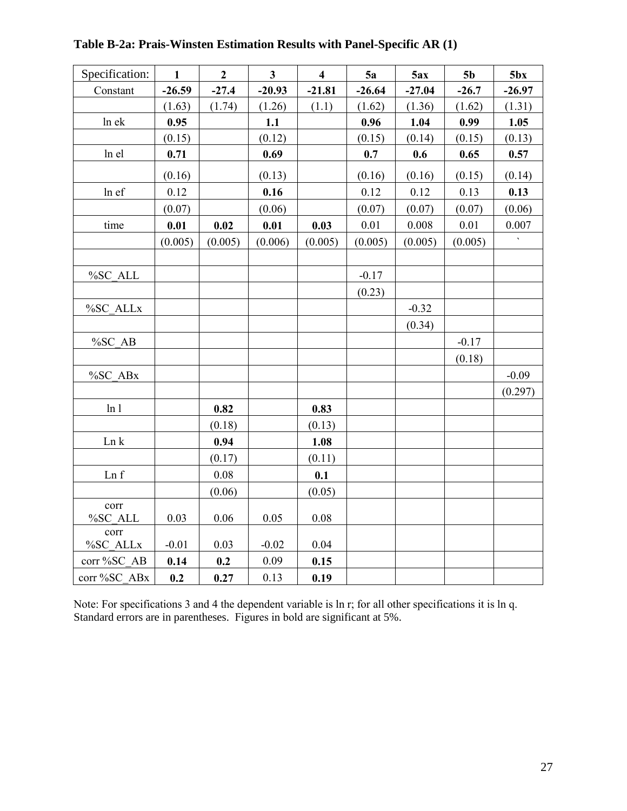| Specification:   | $\mathbf{1}$ | $\overline{2}$ | $\mathbf{3}$ | $\overline{\mathbf{4}}$ | 5a       | 5ax      | 5 <sub>b</sub> | 5 <sub>bx</sub>        |
|------------------|--------------|----------------|--------------|-------------------------|----------|----------|----------------|------------------------|
| Constant         | $-26.59$     | $-27.4$        | $-20.93$     | $-21.81$                | $-26.64$ | $-27.04$ | $-26.7$        | $-26.97$               |
|                  | (1.63)       | (1.74)         | (1.26)       | (1.1)                   | (1.62)   | (1.36)   | (1.62)         | (1.31)                 |
| ln ek            | 0.95         |                | 1.1          |                         | 0.96     | 1.04     | 0.99           | 1.05                   |
|                  | (0.15)       |                | (0.12)       |                         | (0.15)   | (0.14)   | (0.15)         | (0.13)                 |
| ln el            | 0.71         |                | 0.69         |                         | 0.7      | 0.6      | 0.65           | 0.57                   |
|                  | (0.16)       |                | (0.13)       |                         | (0.16)   | (0.16)   | (0.15)         | (0.14)                 |
| ln ef            | 0.12         |                | 0.16         |                         | 0.12     | 0.12     | 0.13           | 0.13                   |
|                  | (0.07)       |                | (0.06)       |                         | (0.07)   | (0.07)   | (0.07)         | (0.06)                 |
| time             | 0.01         | 0.02           | 0.01         | 0.03                    | 0.01     | 0.008    | 0.01           | 0.007                  |
|                  | (0.005)      | (0.005)        | (0.006)      | (0.005)                 | (0.005)  | (0.005)  | (0.005)        | $\boldsymbol{\lambda}$ |
|                  |              |                |              |                         |          |          |                |                        |
| %SC ALL          |              |                |              |                         | $-0.17$  |          |                |                        |
|                  |              |                |              |                         | (0.23)   |          |                |                        |
| %SC ALLx         |              |                |              |                         |          | $-0.32$  |                |                        |
|                  |              |                |              |                         |          | (0.34)   |                |                        |
| %SC AB           |              |                |              |                         |          |          | $-0.17$        |                        |
|                  |              |                |              |                         |          |          | (0.18)         |                        |
| %SC ABx          |              |                |              |                         |          |          |                | $-0.09$                |
|                  |              |                |              |                         |          |          |                | (0.297)                |
| ln 1             |              | 0.82           |              | 0.83                    |          |          |                |                        |
|                  |              | (0.18)         |              | (0.13)                  |          |          |                |                        |
| Ln k             |              | 0.94           |              | 1.08                    |          |          |                |                        |
|                  |              | (0.17)         |              | (0.11)                  |          |          |                |                        |
| Ln f             |              | 0.08           |              | 0.1                     |          |          |                |                        |
|                  |              | (0.06)         |              | (0.05)                  |          |          |                |                        |
| corr<br>%SC ALL  | 0.03         | 0.06           | 0.05         | 0.08                    |          |          |                |                        |
| corr<br>%SC ALLx | $-0.01$      | 0.03           | $-0.02$      | 0.04                    |          |          |                |                        |
| corr%SC AB       | 0.14         | 0.2            | 0.09         | 0.15                    |          |          |                |                        |
| corr%SC ABx      | 0.2          | 0.27           | 0.13         | 0.19                    |          |          |                |                        |

# **Table B-2a: Prais-Winsten Estimation Results with Panel-Specific AR (1)**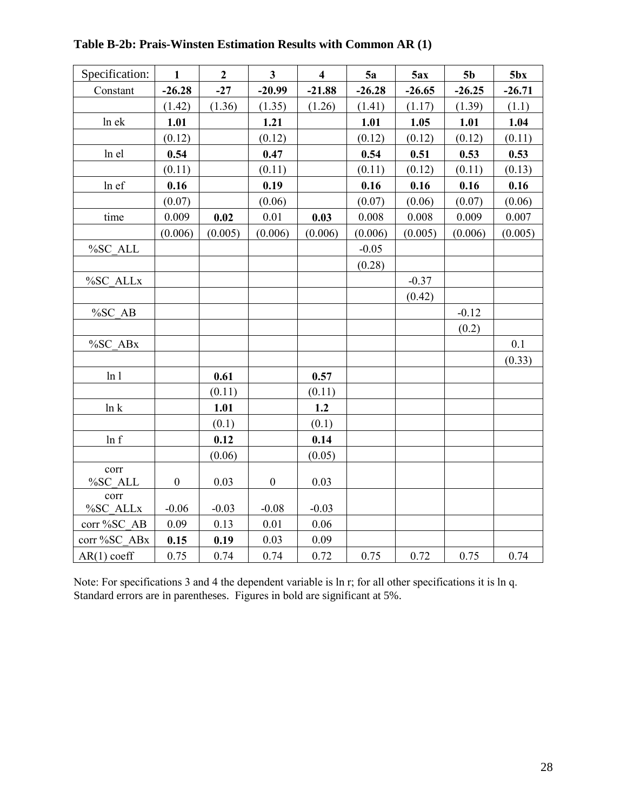| Specification:   | $\mathbf{1}$     | $\overline{2}$ | 3 <sup>1</sup>   | $\overline{\mathbf{4}}$ | 5a       | 5ax      | 5 <sub>b</sub> | 5 <sub>bx</sub> |
|------------------|------------------|----------------|------------------|-------------------------|----------|----------|----------------|-----------------|
| Constant         | $-26.28$         | $-27$          | $-20.99$         | $-21.88$                | $-26.28$ | $-26.65$ | $-26.25$       | $-26.71$        |
|                  | (1.42)           | (1.36)         | (1.35)           | (1.26)                  | (1.41)   | (1.17)   | (1.39)         | (1.1)           |
| ln ek            | 1.01             |                | 1.21             |                         | 1.01     | 1.05     | 1.01           | 1.04            |
|                  | (0.12)           |                | (0.12)           |                         | (0.12)   | (0.12)   | (0.12)         | (0.11)          |
| ln el            | 0.54             |                | 0.47             |                         | 0.54     | 0.51     | 0.53           | 0.53            |
|                  | (0.11)           |                | (0.11)           |                         | (0.11)   | (0.12)   | (0.11)         | (0.13)          |
| ln ef            | 0.16             |                | 0.19             |                         | 0.16     | 0.16     | 0.16           | 0.16            |
|                  | (0.07)           |                | (0.06)           |                         | (0.07)   | (0.06)   | (0.07)         | (0.06)          |
| time             | 0.009            | 0.02           | 0.01             | 0.03                    | 0.008    | 0.008    | 0.009          | 0.007           |
|                  | (0.006)          | (0.005)        | (0.006)          | (0.006)                 | (0.006)  | (0.005)  | (0.006)        | (0.005)         |
| %SC ALL          |                  |                |                  |                         | $-0.05$  |          |                |                 |
|                  |                  |                |                  |                         | (0.28)   |          |                |                 |
| %SC ALLx         |                  |                |                  |                         |          | $-0.37$  |                |                 |
|                  |                  |                |                  |                         |          | (0.42)   |                |                 |
| %SC AB           |                  |                |                  |                         |          |          | $-0.12$        |                 |
|                  |                  |                |                  |                         |          |          | (0.2)          |                 |
| %SC ABx          |                  |                |                  |                         |          |          |                | 0.1             |
|                  |                  |                |                  |                         |          |          |                | (0.33)          |
| ln 1             |                  | 0.61           |                  | 0.57                    |          |          |                |                 |
|                  |                  | (0.11)         |                  | (0.11)                  |          |          |                |                 |
| ln k             |                  | 1.01           |                  | 1.2                     |          |          |                |                 |
|                  |                  | (0.1)          |                  | (0.1)                   |          |          |                |                 |
| ln f             |                  | 0.12           |                  | 0.14                    |          |          |                |                 |
|                  |                  | (0.06)         |                  | (0.05)                  |          |          |                |                 |
| corr             |                  |                |                  |                         |          |          |                |                 |
| %SC ALL          | $\boldsymbol{0}$ | 0.03           | $\boldsymbol{0}$ | 0.03                    |          |          |                |                 |
| corr<br>%SC ALLx | $-0.06$          | $-0.03$        | $-0.08$          | $-0.03$                 |          |          |                |                 |
| corr%SC AB       | 0.09             | 0.13           | 0.01             | 0.06                    |          |          |                |                 |
| corr %SC ABx     | 0.15             | 0.19           | 0.03             | 0.09                    |          |          |                |                 |
| $AR(1)$ coeff    | 0.75             | 0.74           | 0.74             | 0.72                    | 0.75     | 0.72     | 0.75           | 0.74            |

# **Table B-2b: Prais-Winsten Estimation Results with Common AR (1)**